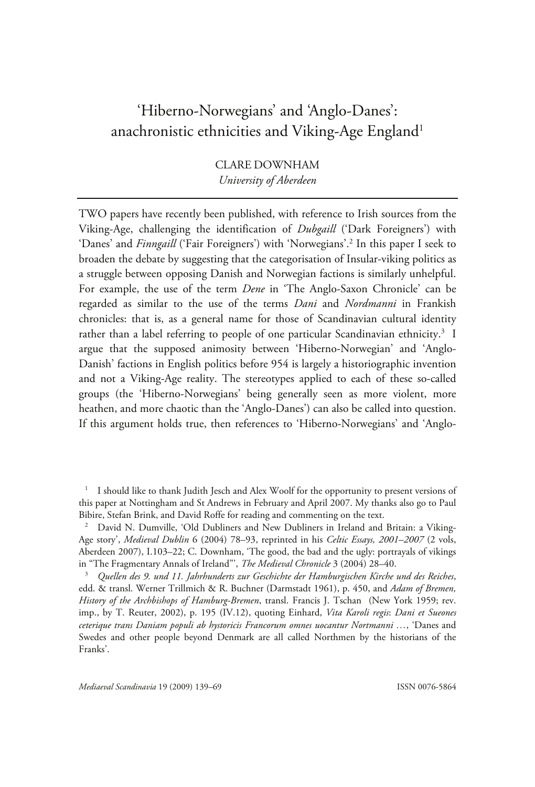# 'Hiberno-Norwegians' and 'Anglo-Danes': anachronistic ethnicities and Viking-Age England<sup>1</sup>

CLARE DOWNHAM *University of Aberdeen* 

TWO papers have recently been published, with reference to Irish sources from the Viking-Age, challenging the identification of *Dubgaill* ('Dark Foreigners') with 'Danes' and *Finngaill* ('Fair Foreigners') with 'Norwegians'.<sup>2</sup> In this paper I seek to broaden the debate by suggesting that the categorisation of Insular-viking politics as a struggle between opposing Danish and Norwegian factions is similarly unhelpful. For example, the use of the term *Dene* in 'The Anglo-Saxon Chronicle' can be regarded as similar to the use of the terms *Dani* and *Nordmanni* in Frankish chronicles: that is, as a general name for those of Scandinavian cultural identity rather than a label referring to people of one particular Scandinavian ethnicity.<sup>3</sup> I argue that the supposed animosity between 'Hiberno-Norwegian' and 'Anglo-Danish' factions in English politics before 954 is largely a historiographic invention and not a Viking-Age reality. The stereotypes applied to each of these so-called groups (the 'Hiberno-Norwegians' being generally seen as more violent, more heathen, and more chaotic than the 'Anglo-Danes') can also be called into question. If this argument holds true, then references to 'Hiberno-Norwegians' and 'Anglo-

<sup>1</sup> I should like to thank Judith Jesch and Alex Woolf for the opportunity to present versions of this paper at Nottingham and St Andrews in February and April 2007. My thanks also go to Paul Bibire, Stefan Brink, and David Roffe for reading and commenting on the text.

<sup>&</sup>lt;sup>2</sup> David N. Dumville, 'Old Dubliners and New Dubliners in Ireland and Britain: a Viking-Age story', *Medieval Dublin* 6 (2004) 78–93, reprinted in his *Celtic Essays, 2001–2007* (2 vols, Aberdeen 2007), I.103–22; C. Downham, 'The good, the bad and the ugly: portrayals of vikings in "The Fragmentary Annals of Ireland"', *The Medieval Chronicle* 3 (2004) 28–40. 3 *Quellen des 9. und 11. Jahrhunderts zur Geschichte der Hamburgischen Kirche und des Reiches*,

edd. & transl. Werner Trillmich & R. Buchner (Darmstadt 1961), p. 450, and *Adam of Bremen, History of the Archbishops of Hamburg-Bremen*, transl. Francis J. Tschan (New York 1959; rev. imp., by T. Reuter, 2002), p. 195 (IV.12), quoting Einhard, *Vita Karoli regis*: *Dani et Sueones ceterique trans Daniam populi ab hystoricis Francorum omnes uocantur Nortmanni …*, 'Danes and Swedes and other people beyond Denmark are all called Northmen by the historians of the Franks'.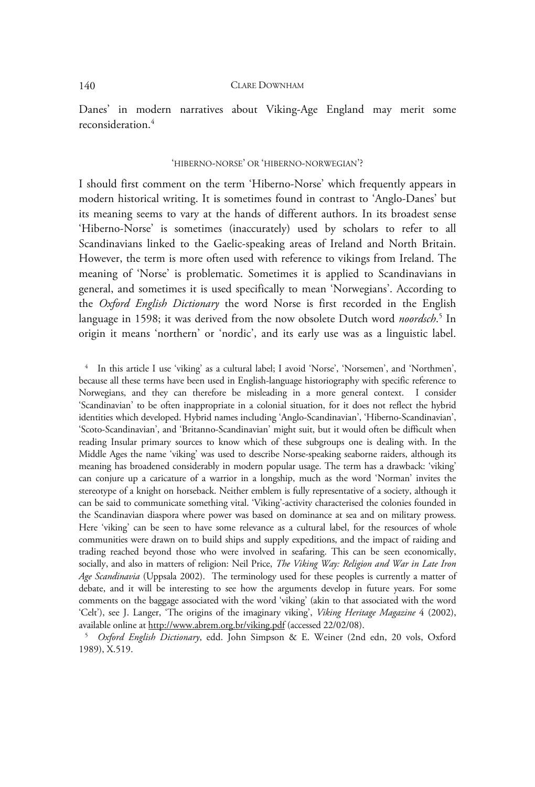Danes' in modern narratives about Viking-Age England may merit some reconsideration.4

## 'HIBERNO-NORSE' OR 'HIBERNO-NORWEGIAN'?

I should first comment on the term 'Hiberno-Norse' which frequently appears in modern historical writing. It is sometimes found in contrast to 'Anglo-Danes' but its meaning seems to vary at the hands of different authors. In its broadest sense 'Hiberno-Norse' is sometimes (inaccurately) used by scholars to refer to all Scandinavians linked to the Gaelic-speaking areas of Ireland and North Britain. However, the term is more often used with reference to vikings from Ireland. The meaning of 'Norse' is problematic. Sometimes it is applied to Scandinavians in general, and sometimes it is used specifically to mean 'Norwegians'. According to the *Oxford English Dictionary* the word Norse is first recorded in the English language in 1598; it was derived from the now obsolete Dutch word *noordsch*. 5 In origin it means 'northern' or 'nordic', and its early use was as a linguistic label.

<sup>4</sup> In this article I use 'viking' as a cultural label; I avoid 'Norse', 'Norsemen', and 'Northmen', because all these terms have been used in English-language historiography with specific reference to Norwegians, and they can therefore be misleading in a more general context. I consider 'Scandinavian' to be often inappropriate in a colonial situation, for it does not reflect the hybrid identities which developed. Hybrid names including 'Anglo-Scandinavian', 'Hiberno-Scandinavian', 'Scoto-Scandinavian', and 'Britanno-Scandinavian' might suit, but it would often be difficult when reading Insular primary sources to know which of these subgroups one is dealing with. In the Middle Ages the name 'viking' was used to describe Norse-speaking seaborne raiders, although its meaning has broadened considerably in modern popular usage. The term has a drawback: 'viking' can conjure up a caricature of a warrior in a longship, much as the word 'Norman' invites the stereotype of a knight on horseback. Neither emblem is fully representative of a society, although it can be said to communicate something vital. 'Viking'-activity characterised the colonies founded in the Scandinavian diaspora where power was based on dominance at sea and on military prowess. Here 'viking' can be seen to have some relevance as a cultural label, for the resources of whole communities were drawn on to build ships and supply expeditions, and the impact of raiding and trading reached beyond those who were involved in seafaring. This can be seen economically, socially, and also in matters of religion: Neil Price, *The Viking Way: Religion and War in Late Iron Age Scandinavia* (Uppsala 2002). The terminology used for these peoples is currently a matter of debate, and it will be interesting to see how the arguments develop in future years. For some comments on the baggage associated with the word 'viking' (akin to that associated with the word 'Celt'), see J. Langer, 'The origins of the imaginary viking', *Viking Heritage Magazine* 4 (2002), available online at http://www.abrem.org.br/viking.pdf (accessed 22/02/08). 5 *Oxford English Dictionary*, edd. John Simpson & E. Weiner (2nd edn, 20 vols, Oxford

1989), X.519.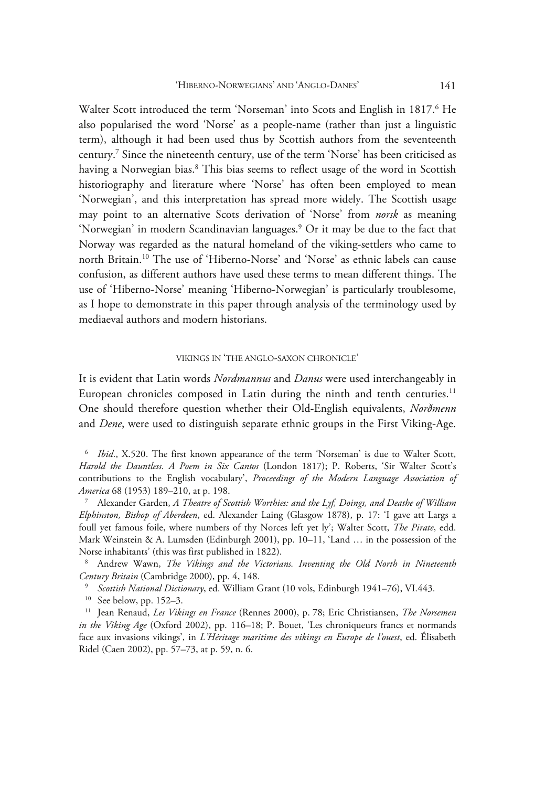Walter Scott introduced the term 'Norseman' into Scots and English in 1817.<sup>6</sup> He also popularised the word 'Norse' as a people-name (rather than just a linguistic term), although it had been used thus by Scottish authors from the seventeenth century.7 Since the nineteenth century, use of the term 'Norse' has been criticised as having a Norwegian bias.<sup>8</sup> This bias seems to reflect usage of the word in Scottish historiography and literature where 'Norse' has often been employed to mean 'Norwegian', and this interpretation has spread more widely. The Scottish usage may point to an alternative Scots derivation of 'Norse' from *norsk* as meaning 'Norwegian' in modern Scandinavian languages.<sup>9</sup> Or it may be due to the fact that Norway was regarded as the natural homeland of the viking-settlers who came to north Britain.10 The use of 'Hiberno-Norse' and 'Norse' as ethnic labels can cause confusion, as different authors have used these terms to mean different things. The use of 'Hiberno-Norse' meaning 'Hiberno-Norwegian' is particularly troublesome, as I hope to demonstrate in this paper through analysis of the terminology used by mediaeval authors and modern historians.

# VIKINGS IN 'THE ANGLO-SAXON CHRONICLE'

It is evident that Latin words *Nordmannus* and *Danus* were used interchangeably in European chronicles composed in Latin during the ninth and tenth centuries.<sup>11</sup> One should therefore question whether their Old-English equivalents, *Norðmenn* and *Dene*, were used to distinguish separate ethnic groups in the First Viking-Age.

<sup>6</sup> *Ibid*., X.520. The first known appearance of the term 'Norseman' is due to Walter Scott, *Harold the Dauntless. A Poem in Six Cantos* (London 1817); P. Roberts, 'Sir Walter Scott's contributions to the English vocabulary', *Proceedings of the Modern Language Association of America* 68 (1953) 189–210, at p. 198. 7

 Alexander Garden, *A Theatre of Scottish Worthies: and the Lyf, Doings, and Deathe of William Elphinston, Bishop of Aberdeen*, ed. Alexander Laing (Glasgow 1878), p. 17: 'I gave att Largs a foull yet famous foile, where numbers of thy Norces left yet ly'; Walter Scott, *The Pirate*, edd. Mark Weinstein & A. Lumsden (Edinburgh 2001), pp. 10–11, 'Land … in the possession of the Norse inhabitants' (this was first published in 1822).

 Andrew Wawn, *The Vikings and the Victorians. Inventing the Old North in Nineteenth*  Century Britain (Cambridge 2000), pp. 4, 148.<br><sup>9</sup> Scottish National Dictionary, ed. William Grant (10 vols, Edinburgh 1941–76), VI.443.<br><sup>10</sup> See below, pp. 152–3.<br><sup>11</sup> Jean Renaud, *Les Vikings en France* (Rennes 2000), p.

*in the Viking Age* (Oxford 2002), pp. 116–18; P. Bouet, 'Les chroniqueurs francs et normands face aux invasions vikings', in *L'Héritage maritime des vikings en Europe de l'ouest*, ed. Élisabeth Ridel (Caen 2002), pp. 57–73, at p. 59, n. 6.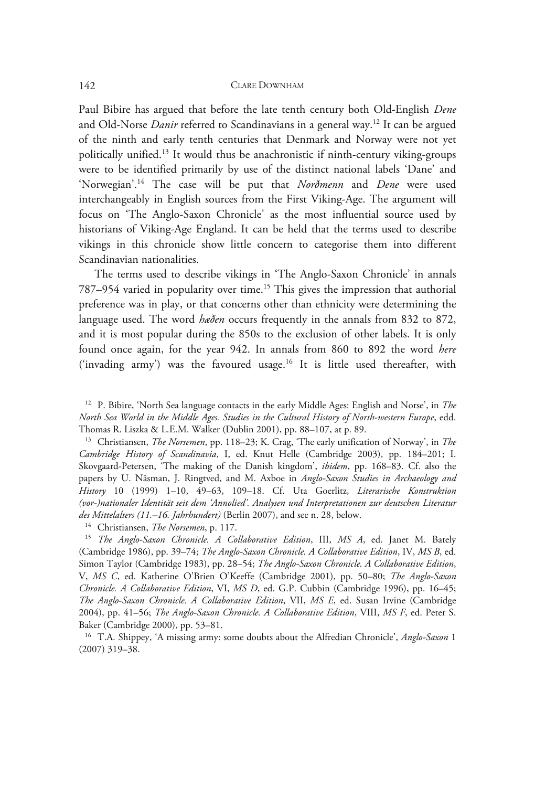Paul Bibire has argued that before the late tenth century both Old-English *Dene*  and Old-Norse *Danir* referred to Scandinavians in a general way.<sup>12</sup> It can be argued of the ninth and early tenth centuries that Denmark and Norway were not yet politically unified.13 It would thus be anachronistic if ninth-century viking-groups were to be identified primarily by use of the distinct national labels 'Dane' and 'Norwegian'.14 The case will be put that *Norðmenn* and *Dene* were used interchangeably in English sources from the First Viking-Age. The argument will focus on 'The Anglo-Saxon Chronicle' as the most influential source used by historians of Viking-Age England. It can be held that the terms used to describe vikings in this chronicle show little concern to categorise them into different Scandinavian nationalities.

The terms used to describe vikings in 'The Anglo-Saxon Chronicle' in annals 787–954 varied in popularity over time.15 This gives the impression that authorial preference was in play, or that concerns other than ethnicity were determining the language used. The word *hæðen* occurs frequently in the annals from 832 to 872, and it is most popular during the 850s to the exclusion of other labels. It is only found once again, for the year 942. In annals from 860 to 892 the word *here* ('invading army') was the favoured usage.<sup>16</sup> It is little used thereafter, with

12 P. Bibire, 'North Sea language contacts in the early Middle Ages: English and Norse', in *The North Sea World in the Middle Ages. Studies in the Cultural History of North-western Europe*, edd. Thomas R. Liszka & L.E.M. Walker (Dublin 2001), pp. 88–107, at p. 89. 13 Christiansen, *The Norsemen*, pp. 118–23; K. Crag, 'The early unification of Norway', in *The* 

*Cambridge History of Scandinavia*, I, ed. Knut Helle (Cambridge 2003), pp. 184–201; I. Skovgaard-Petersen, 'The making of the Danish kingdom', *ibidem*, pp. 168–83. Cf. also the papers by U. Näsman, J. Ringtved, and M. Axboe in *Anglo-Saxon Studies in Archaeology and History* 10 (1999) 1–10, 49–63, 109–18. Cf. Uta Goerlitz, *Literarische Konstruktion (vor-)nationaler Identität seit dem 'Annolied'. Analysen und Interpretationen zur deutschen Literatur*  des Mittelalters (11.–16. Jahrhundert) (Berlin 2007), and see n. 28, below.<br><sup>14</sup> Christiansen, *The Norsemen*, p. 117.<br><sup>15</sup> *The Anglo-Saxon Chronicle. A Collaborative Edition*, III, *MS A*, ed. Janet M. Bately

(Cambridge 1986), pp. 39–74; *The Anglo-Saxon Chronicle. A Collaborative Edition*, IV, *MS B*, ed. Simon Taylor (Cambridge 1983), pp. 28–54; *The Anglo-Saxon Chronicle. A Collaborative Edition*, V, *MS C*, ed. Katherine O'Brien O'Keeffe (Cambridge 2001), pp. 50–80; *The Anglo-Saxon Chronicle. A Collaborative Edition*, VI, *MS D*, ed. G.P. Cubbin (Cambridge 1996), pp. 16–45; *The Anglo-Saxon Chronicle. A Collaborative Edition*, VII, *MS E*, ed. Susan Irvine (Cambridge 2004), pp. 41–56; *The Anglo-Saxon Chronicle. A Collaborative Edition*, VIII, *MS F*, ed. Peter S. Baker (Cambridge 2000), pp. 53–81.

16 T.A. Shippey, 'A missing army: some doubts about the Alfredian Chronicle', *Anglo-Saxon* 1 (2007) 319–38.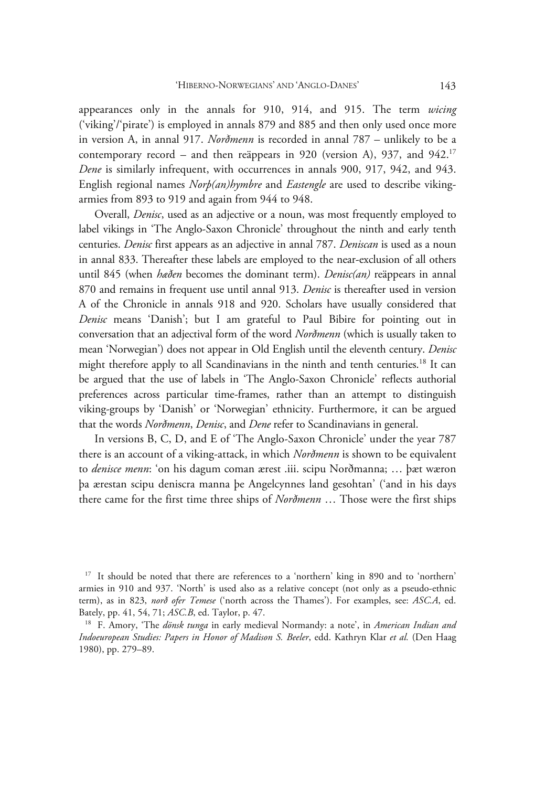appearances only in the annals for 910, 914, and 915. The term *wicing* ('viking'/'pirate') is employed in annals 879 and 885 and then only used once more in version A, in annal 917. *Norðmenn* is recorded in annal 787 – unlikely to be a contemporary record – and then reäppears in 920 (version A), 937, and 942.<sup>17</sup> *Dene* is similarly infrequent, with occurrences in annals 900, 917, 942, and 943. English regional names *Norþ(an)hymbre* and *Eastengle* are used to describe vikingarmies from 893 to 919 and again from 944 to 948.

Overall, *Denisc*, used as an adjective or a noun, was most frequently employed to label vikings in 'The Anglo-Saxon Chronicle' throughout the ninth and early tenth centuries. *Denisc* first appears as an adjective in annal 787. *Deniscan* is used as a noun in annal 833. Thereafter these labels are employed to the near-exclusion of all others until 845 (when *hæðen* becomes the dominant term). *Denisc(an)* reäppears in annal 870 and remains in frequent use until annal 913. *Denisc* is thereafter used in version A of the Chronicle in annals 918 and 920. Scholars have usually considered that *Denisc* means 'Danish'; but I am grateful to Paul Bibire for pointing out in conversation that an adjectival form of the word *Norðmenn* (which is usually taken to mean 'Norwegian') does not appear in Old English until the eleventh century. *Denisc* might therefore apply to all Scandinavians in the ninth and tenth centuries.<sup>18</sup> It can be argued that the use of labels in 'The Anglo-Saxon Chronicle' reflects authorial preferences across particular time-frames, rather than an attempt to distinguish viking-groups by 'Danish' or 'Norwegian' ethnicity. Furthermore, it can be argued that the words *Norðmenn*, *Denisc*, and *Dene* refer to Scandinavians in general.

In versions B, C, D, and E of 'The Anglo-Saxon Chronicle' under the year 787 there is an account of a viking-attack, in which *Norðmenn* is shown to be equivalent to *denisce menn*: 'on his dagum coman ærest .iii. scipu Norðmanna; … þæt wæron þa ærestan scipu deniscra manna þe Angelcynnes land gesohtan' ('and in his days there came for the first time three ships of *Norðmenn* … Those were the first ships

<sup>&</sup>lt;sup>17</sup> It should be noted that there are references to a 'northern' king in 890 and to 'northern' armies in 910 and 937. 'North' is used also as a relative concept (not only as a pseudo-ethnic term), as in 823, *norð ofer Temese* ('north across the Thames'). For examples, see: *ASC.A*, ed. Bately, pp. 41, 54, 71; *ASC.B*, ed. Taylor, p. 47. 18 F. Amory, 'The *dönsk tunga* in early medieval Normandy: a note', in *American Indian and* 

*Indoeuropean Studies: Papers in Honor of Madison S. Beeler*, edd. Kathryn Klar *et al.* (Den Haag 1980), pp. 279–89.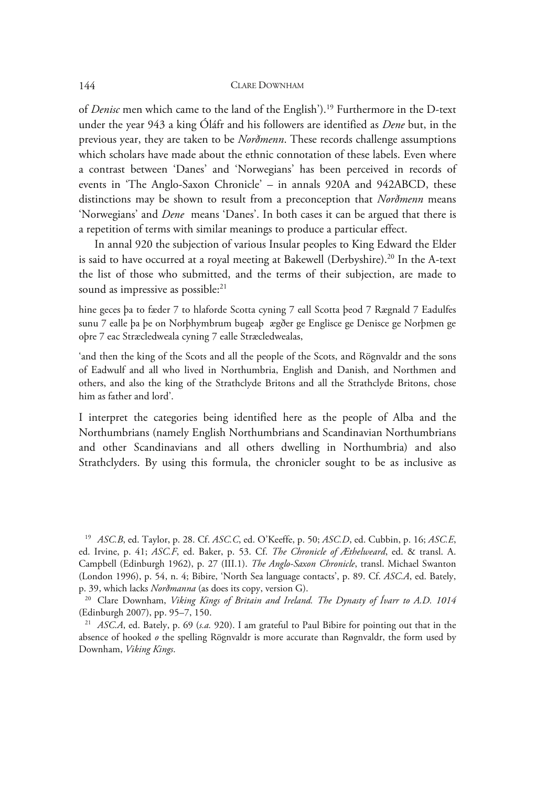of *Denisc* men which came to the land of the English').19 Furthermore in the D-text under the year 943 a king Óláfr and his followers are identified as *Dene* but, in the previous year, they are taken to be *Norðmenn*. These records challenge assumptions which scholars have made about the ethnic connotation of these labels. Even where a contrast between 'Danes' and 'Norwegians' has been perceived in records of events in 'The Anglo-Saxon Chronicle' – in annals 920A and 942ABCD, these distinctions may be shown to result from a preconception that *Norðmenn* means 'Norwegians' and *Dene* means 'Danes'. In both cases it can be argued that there is a repetition of terms with similar meanings to produce a particular effect.

In annal 920 the subjection of various Insular peoples to King Edward the Elder is said to have occurred at a royal meeting at Bakewell (Derbyshire).<sup>20</sup> In the A-text the list of those who submitted, and the terms of their subjection, are made to sound as impressive as possible:<sup>21</sup>

hine geces þa to fæder 7 to hlaforde Scotta cyning 7 eall Scotta þeod 7 Rægnald 7 Eadulfes sunu 7 ealle þa þe on Norþhymbrum bugeaþ ægðer ge Englisce ge Denisce ge Norþmen ge oþre 7 eac Stræcledweala cyning 7 ealle Stræcledwealas,

'and then the king of the Scots and all the people of the Scots, and Rögnvaldr and the sons of Eadwulf and all who lived in Northumbria, English and Danish, and Northmen and others, and also the king of the Strathclyde Britons and all the Strathclyde Britons, chose him as father and lord'.

I interpret the categories being identified here as the people of Alba and the Northumbrians (namely English Northumbrians and Scandinavian Northumbrians and other Scandinavians and all others dwelling in Northumbria) and also Strathclyders. By using this formula, the chronicler sought to be as inclusive as

<sup>19</sup> *ASC.B*, ed. Taylor, p. 28. Cf. *ASC.C*, ed. O'Keeffe, p. 50; *ASC.D*, ed. Cubbin, p. 16; *ASC.E*, ed. Irvine, p. 41; *ASC.F*, ed. Baker, p. 53. Cf. *The Chronicle of Æthelweard*, ed. & transl. A. Campbell (Edinburgh 1962), p. 27 (III.1). *The Anglo-Saxon Chronicle*, transl. Michael Swanton (London 1996), p. 54, n. 4; Bibire, 'North Sea language contacts', p. 89. Cf. *ASC.A*, ed. Bately, p. 39, which lacks *Norðmanna* (as does its copy, version G). 20 Clare Downham, *Viking Kings of Britain and Ireland. The Dynasty of Ívarr to A.D. 1014*

(Edinburgh 2007), pp. 95–7, 150.

<sup>21</sup> *ASC.A*, ed. Bately, p. 69 (*s.a.* 920). I am grateful to Paul Bibire for pointing out that in the absence of hooked  $\rho$  the spelling Rögnvaldr is more accurate than Røgnvaldr, the form used by Downham, *Viking Kings*.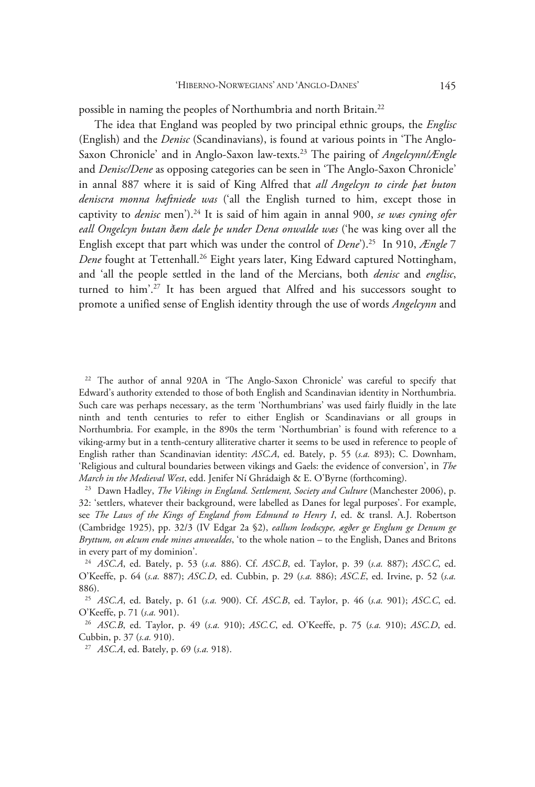possible in naming the peoples of Northumbria and north Britain.<sup>22</sup>

The idea that England was peopled by two principal ethnic groups, the *Englisc* (English) and the *Denisc* (Scandinavians), is found at various points in 'The Anglo-Saxon Chronicle' and in Anglo-Saxon law-texts.23 The pairing of *Angelcynn/Ængle* and *Denisc/Dene* as opposing categories can be seen in 'The Anglo-Saxon Chronicle' in annal 887 where it is said of King Alfred that *all Angelcyn to cirde þæt buton deniscra monna hæftniede was* ('all the English turned to him, except those in captivity to *denisc* men').24 It is said of him again in annal 900, *se wæs cyning ofer eall Ongelcyn butan ðæm dæle þe under Dena onwalde wæs* ('he was king over all the English except that part which was under the control of *Dene*').25 In 910, *Ængle* 7 *Dene* fought at Tettenhall.<sup>26</sup> Eight years later, King Edward captured Nottingham, and 'all the people settled in the land of the Mercians, both *denisc* and *englisc*, turned to him'.<sup>27</sup> It has been argued that Alfred and his successors sought to promote a unified sense of English identity through the use of words *Angelcynn* and

22 The author of annal 920A in 'The Anglo-Saxon Chronicle' was careful to specify that Edward's authority extended to those of both English and Scandinavian identity in Northumbria. Such care was perhaps necessary, as the term 'Northumbrians' was used fairly fluidly in the late ninth and tenth centuries to refer to either English or Scandinavians or all groups in Northumbria. For example, in the 890s the term 'Northumbrian' is found with reference to a viking-army but in a tenth-century alliterative charter it seems to be used in reference to people of English rather than Scandinavian identity: *ASC.A*, ed. Bately, p. 55 (*s.a.* 893); C. Downham, 'Religious and cultural boundaries between vikings and Gaels: the evidence of conversion', in *The March in the Medieval West*, edd. Jenifer Ní Ghrádaigh & E. O'Byrne (forthcoming). 23 Dawn Hadley, *The Vikings in England. Settlement, Society and Culture* (Manchester 2006), p.

32: 'settlers, whatever their background, were labelled as Danes for legal purposes'. For example, see *The Laws of the Kings of England from Edmund to Henry I*, ed. & transl. A.J. Robertson (Cambridge 1925), pp. 32/3 (IV Edgar 2a §2), *eallum leodscype, ægðer ge Englum ge Denum ge Bryttum, on ælcum ende mines anwealdes*, 'to the whole nation – to the English, Danes and Britons in every part of my dominion'.

<sup>24</sup> *ASC.A*, ed. Bately, p. 53 (*s.a.* 886). Cf. *ASC.B*, ed. Taylor, p. 39 (*s.a.* 887); *ASC.C*, ed. O'Keeffe, p. 64 (*s.a.* 887); *ASC.D*, ed. Cubbin, p. 29 (*s.a.* 886); *ASC.E*, ed. Irvine, p. 52 (*s.a.* 886).

<sup>25</sup> *ASC.A*, ed. Bately, p. 61 (*s.a.* 900). Cf. *ASC.B*, ed. Taylor, p. 46 (*s.a.* 901); *ASC.C*, ed. O'Keeffe, p. 71 (*s.a.* 901). 26 *ASC.B*, ed. Taylor, p. 49 (*s.a.* 910); *ASC.C*, ed. O'Keeffe, p. 75 (*s.a.* 910); *ASC.D*, ed.

Cubbin, p. 37 (*s.a.* 910). 27 *ASC.A*, ed. Bately, p. 69 (*s.a.* 918).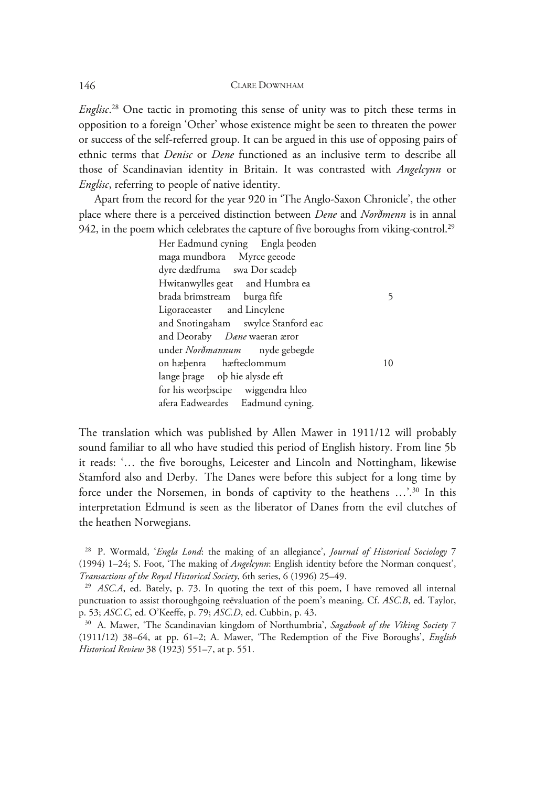*Englisc*. 28 One tactic in promoting this sense of unity was to pitch these terms in opposition to a foreign 'Other' whose existence might be seen to threaten the power or success of the self-referred group. It can be argued in this use of opposing pairs of ethnic terms that *Denisc* or *Dene* functioned as an inclusive term to describe all those of Scandinavian identity in Britain. It was contrasted with *Angelcynn* or *Englisc*, referring to people of native identity.

Apart from the record for the year 920 in 'The Anglo-Saxon Chronicle', the other place where there is a perceived distinction between *Dene* and *Norðmenn* is in annal 942, in the poem which celebrates the capture of five boroughs from viking-control.<sup>29</sup>

Her Eadmund cyning Engla þeoden maga mundbora Myrce geeode dyre dædfruma swa Dor scadeþ Hwitanwylles geat and Humbra ea brada brimstream burga fife 5 Ligoraceaster and Lincylene and Snotingaham swylce Stanford eac and Deoraby *Dæne* waeran æror under *Norðmannum* nyde gebegde on hæþenra hæfteclommum 10 lange þrage oþ hie alysde eft for his weorþscipe wiggendra hleo afera Eadweardes Eadmund cyning.

The translation which was published by Allen Mawer in 1911/12 will probably sound familiar to all who have studied this period of English history. From line 5b it reads: '… the five boroughs, Leicester and Lincoln and Nottingham, likewise Stamford also and Derby. The Danes were before this subject for a long time by force under the Norsemen, in bonds of captivity to the heathens ...'.<sup>30</sup> In this interpretation Edmund is seen as the liberator of Danes from the evil clutches of the heathen Norwegians.

<sup>28</sup> P. Wormald, '*Engla Lond*: the making of an allegiance', *Journal of Historical Sociology* 7 (1994) 1–24; S. Foot, 'The making of *Angelcynn*: English identity before the Norman conquest', *Transactions of the Royal Historical Society*, 6th series, 6 (1996) 25–49.<br><sup>29</sup> *ASC.A*, ed. Bately, p. 73. In quoting the text of this poem, I have removed all internal

punctuation to assist thoroughgoing reëvaluation of the poem's meaning. Cf. *ASC.B*, ed. Taylor, p. 53; *ASC.C*, ed. O'Keeffe, p. 79; *ASC.D*, ed. Cubbin, p. 43. 30 A. Mawer, 'The Scandinavian kingdom of Northumbria', *Sagabook of the Viking Society*<sup>7</sup>

<sup>(1911/12) 38–64,</sup> at pp. 61–2; A. Mawer, 'The Redemption of the Five Boroughs', *English Historical Review* 38 (1923) 551–7, at p. 551.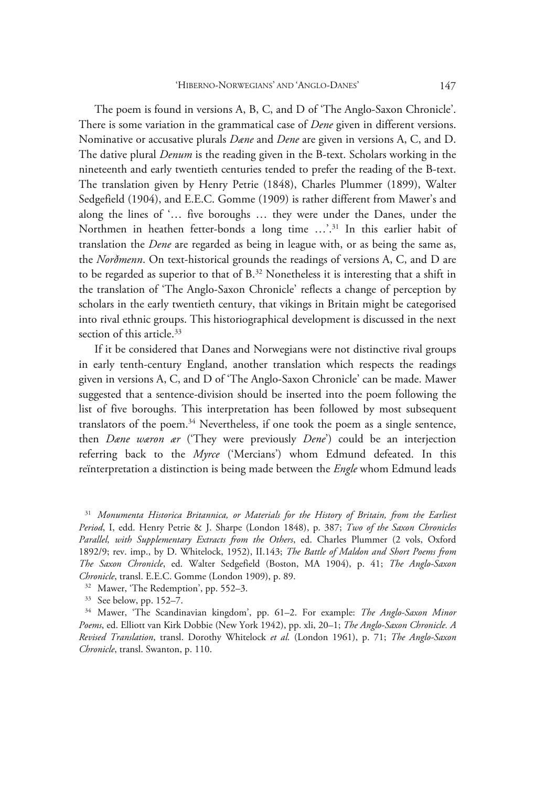The poem is found in versions A, B, C, and D of 'The Anglo-Saxon Chronicle'. There is some variation in the grammatical case of *Dene* given in different versions. Nominative or accusative plurals *Dæne* and *Dene* are given in versions A, C, and D. The dative plural *Denum* is the reading given in the B-text. Scholars working in the nineteenth and early twentieth centuries tended to prefer the reading of the B-text. The translation given by Henry Petrie (1848), Charles Plummer (1899), Walter Sedgefield (1904), and E.E.C. Gomme (1909) is rather different from Mawer's and along the lines of '… five boroughs … they were under the Danes, under the Northmen in heathen fetter-bonds a long time ...'.<sup>31</sup> In this earlier habit of translation the *Dene* are regarded as being in league with, or as being the same as, the *Norðmenn*. On text-historical grounds the readings of versions A, C, and D are to be regarded as superior to that of B.32 Nonetheless it is interesting that a shift in the translation of 'The Anglo-Saxon Chronicle' reflects a change of perception by scholars in the early twentieth century, that vikings in Britain might be categorised into rival ethnic groups. This historiographical development is discussed in the next section of this article.<sup>33</sup>

If it be considered that Danes and Norwegians were not distinctive rival groups in early tenth-century England, another translation which respects the readings given in versions A, C, and D of 'The Anglo-Saxon Chronicle' can be made. Mawer suggested that a sentence-division should be inserted into the poem following the list of five boroughs. This interpretation has been followed by most subsequent translators of the poem.34 Nevertheless, if one took the poem as a single sentence, then *Dæne wæron ær* ('They were previously *Dene*') could be an interjection referring back to the *Myrce* ('Mercians') whom Edmund defeated. In this reïnterpretation a distinction is being made between the *Engle* whom Edmund leads

<sup>31</sup> *Monumenta Historica Britannica, or Materials for the History of Britain, from the Earliest Period*, I, edd. Henry Petrie & J. Sharpe (London 1848), p. 387; *Two of the Saxon Chronicles Parallel, with Supplementary Extracts from the Others*, ed. Charles Plummer (2 vols, Oxford 1892/9; rev. imp., by D. Whitelock, 1952), II.143; *The Battle of Maldon and Short Poems from The Saxon Chronicle*, ed. Walter Sedgefield (Boston, MA 1904), p. 41; *The Anglo-Saxon Chronicle*, transl. E.E.C. Gomme (London 1909), p. 89. 32 Mawer, 'The Redemption', pp. 552–3.

33 See below, pp. 152–7. 34 Mawer, 'The Scandinavian kingdom', pp. 61–2. For example: *The Anglo-Saxon Minor Poems*, ed. Elliott van Kirk Dobbie (New York 1942), pp. xli, 20–1; *The Anglo-Saxon Chronicle. A Revised Translation*, transl. Dorothy Whitelock *et al.* (London 1961), p. 71; *The Anglo-Saxon Chronicle*, transl. Swanton, p. 110.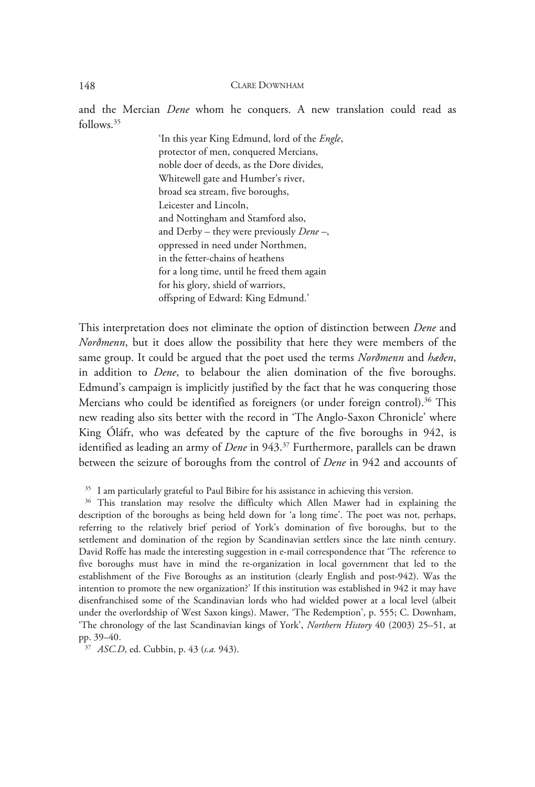and the Mercian *Dene* whom he conquers. A new translation could read as follows.35

> 'In this year King Edmund, lord of the *Engle*, protector of men, conquered Mercians, noble doer of deeds, as the Dore divides, Whitewell gate and Humber's river, broad sea stream, five boroughs, Leicester and Lincoln, and Nottingham and Stamford also, and Derby – they were previously *Dene –*, oppressed in need under Northmen, in the fetter-chains of heathens for a long time, until he freed them again for his glory, shield of warriors, offspring of Edward: King Edmund.'

This interpretation does not eliminate the option of distinction between *Dene* and *Norðmenn*, but it does allow the possibility that here they were members of the same group. It could be argued that the poet used the terms *Norðmenn* and *hæðen*, in addition to *Dene*, to belabour the alien domination of the five boroughs. Edmund's campaign is implicitly justified by the fact that he was conquering those Mercians who could be identified as foreigners (or under foreign control).<sup>36</sup> This new reading also sits better with the record in 'The Anglo-Saxon Chronicle' where King Óláfr, who was defeated by the capture of the five boroughs in 942, is identified as leading an army of *Dene* in 943.37 Furthermore, parallels can be drawn between the seizure of boroughs from the control of *Dene* in 942 and accounts of

 $35$  I am particularly grateful to Paul Bibire for his assistance in achieving this version.<br> $36$  This translation may resolve the difficulty which Allen Mawer had in explaining the description of the boroughs as being held down for 'a long time'. The poet was not, perhaps, referring to the relatively brief period of York's domination of five boroughs, but to the settlement and domination of the region by Scandinavian settlers since the late ninth century. David Roffe has made the interesting suggestion in e-mail correspondence that 'The reference to five boroughs must have in mind the re-organization in local government that led to the establishment of the Five Boroughs as an institution (clearly English and post-942). Was the intention to promote the new organization?' If this institution was established in 942 it may have disenfranchised some of the Scandinavian lords who had wielded power at a local level (albeit under the overlordship of West Saxon kings). Mawer, 'The Redemption', p. 555; C. Downham, 'The chronology of the last Scandinavian kings of York', *Northern History* 40 (2003) 25–51, at pp. 39–40.

<sup>37</sup> *ASC.D*, ed. Cubbin, p. 43 (*s.a.* 943).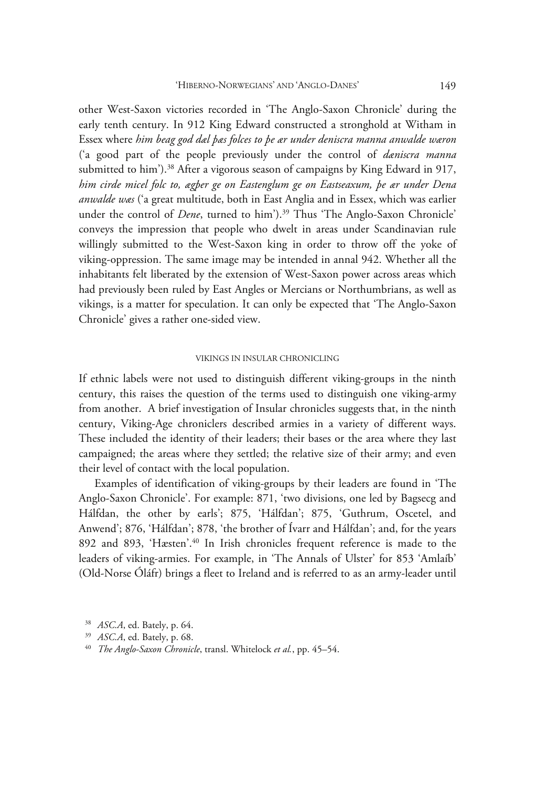other West-Saxon victories recorded in 'The Anglo-Saxon Chronicle' during the early tenth century. In 912 King Edward constructed a stronghold at Witham in Essex where *him beag god dæl þæs folces to þe ær under deniscra manna anwalde wæron* ('a good part of the people previously under the control of *dæniscra manna* submitted to him').<sup>38</sup> After a vigorous season of campaigns by King Edward in 917, *him cirde micel folc to, ægþer ge on Eastenglum ge on Eastseaxum, þe ær under Dena anwalde wæs* ('a great multitude, both in East Anglia and in Essex, which was earlier under the control of *Dene*, turned to him').<sup>39</sup> Thus 'The Anglo-Saxon Chronicle' conveys the impression that people who dwelt in areas under Scandinavian rule willingly submitted to the West-Saxon king in order to throw off the yoke of viking-oppression. The same image may be intended in annal 942. Whether all the inhabitants felt liberated by the extension of West-Saxon power across areas which had previously been ruled by East Angles or Mercians or Northumbrians, as well as vikings, is a matter for speculation. It can only be expected that 'The Anglo-Saxon Chronicle' gives a rather one-sided view.

# VIKINGS IN INSULAR CHRONICLING

If ethnic labels were not used to distinguish different viking-groups in the ninth century, this raises the question of the terms used to distinguish one viking-army from another. A brief investigation of Insular chronicles suggests that, in the ninth century, Viking-Age chroniclers described armies in a variety of different ways. These included the identity of their leaders; their bases or the area where they last campaigned; the areas where they settled; the relative size of their army; and even their level of contact with the local population.

Examples of identification of viking-groups by their leaders are found in 'The Anglo-Saxon Chronicle'. For example: 871, 'two divisions, one led by Bagsecg and Hálfdan, the other by earls'; 875, 'Hálfdan'; 875, 'Guthrum, Oscetel, and Anwend'; 876, 'Hálfdan'; 878, 'the brother of Ívarr and Hálfdan'; and, for the years 892 and 893, 'Hæsten'.40 In Irish chronicles frequent reference is made to the leaders of viking-armies. For example, in 'The Annals of Ulster' for 853 'Amlaíb' (Old-Norse Óláfr) brings a fleet to Ireland and is referred to as an army-leader until

<sup>38</sup> *ASC.A*, ed. Bately, p. 64. 39 *ASC.A*, ed. Bately, p. 68. 40 *The Anglo-Saxon Chronicle*, transl. Whitelock *et al.*, pp. 45–54.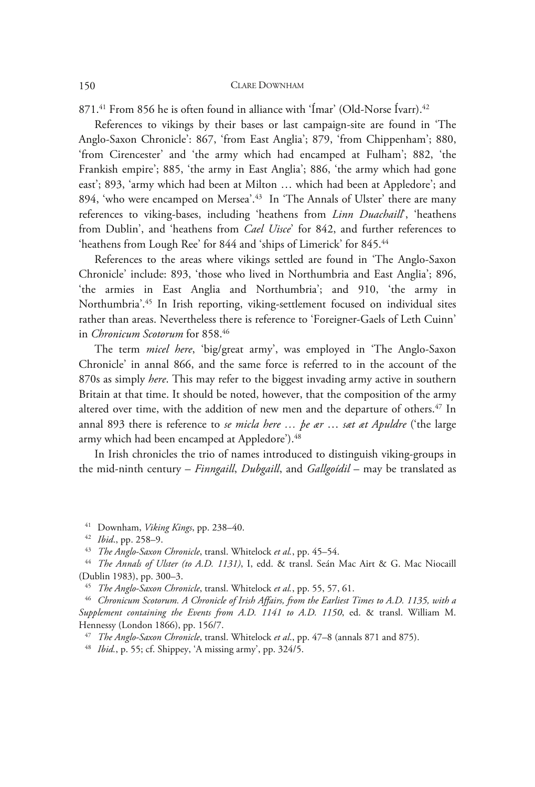871.<sup>41</sup> From 856 he is often found in alliance with 'Ímar' (Old-Norse Ívarr).<sup>42</sup>

References to vikings by their bases or last campaign-site are found in 'The Anglo-Saxon Chronicle': 867, 'from East Anglia'; 879, 'from Chippenham'; 880, 'from Cirencester' and 'the army which had encamped at Fulham'; 882, 'the Frankish empire'; 885, 'the army in East Anglia'; 886, 'the army which had gone east'; 893, 'army which had been at Milton … which had been at Appledore'; and 894, 'who were encamped on Mersea'.43 In 'The Annals of Ulster' there are many references to viking-bases, including 'heathens from *Linn Duachaill*', 'heathens from Dublin', and 'heathens from *Cael Uisce*' for 842, and further references to 'heathens from Lough Ree' for 844 and 'ships of Limerick' for 845.<sup>44</sup>

References to the areas where vikings settled are found in 'The Anglo-Saxon Chronicle' include: 893, 'those who lived in Northumbria and East Anglia'; 896, 'the armies in East Anglia and Northumbria'; and 910, 'the army in Northumbria'.45 In Irish reporting, viking-settlement focused on individual sites rather than areas. Nevertheless there is reference to 'Foreigner-Gaels of Leth Cuinn' in *Chronicum Scotorum* for 858.46

The term *micel here*, 'big/great army', was employed in 'The Anglo-Saxon Chronicle' in annal 866, and the same force is referred to in the account of the 870s as simply *here*. This may refer to the biggest invading army active in southern Britain at that time. It should be noted, however, that the composition of the army altered over time, with the addition of new men and the departure of others.<sup>47</sup> In annal 893 there is reference to *se micla here … þe ær* … *sæt æt Apuldre* ('the large army which had been encamped at Appledore').<sup>48</sup>

In Irish chronicles the trio of names introduced to distinguish viking-groups in the mid-ninth century – *Finngaill*, *Dubgaill*, and *Gallgoídil* – may be translated as

<sup>41</sup> Downham, *Viking Kings*, pp. 238–40.<br><sup>42</sup> Ibid., pp. 258–9.<br><sup>43</sup> The Anglo-Saxon Chronicle, transl. Whitelock et al., pp. 45–54.<br><sup>44</sup> The Annals of Ulster (to A.D. 1131), I, edd. & transl. Seán Mac Airt & G. Mac Nioca (Dublin 1983), pp. 300–3.

<sup>45</sup> *The Anglo-Saxon Chronicle*, transl. Whitelock *et al.*, pp. 55, 57, 61.<br><sup>46</sup> *Chronicum Scotorum. A Chronicle of Irish Affairs, from the Earliest Times to A.D. 1135, with a Supplement containing the Events from A.D. 1141 to A.D. 1150*, ed. & transl. William M. Hennessy (London 1866), pp. 156/7.

<sup>47</sup> *The Anglo-Saxon Chronicle*, transl. Whitelock *et al*., pp. 47–8 (annals 871 and 875). 48 *Ibid.*, p. 55; cf. Shippey, 'A missing army', pp. 324/5.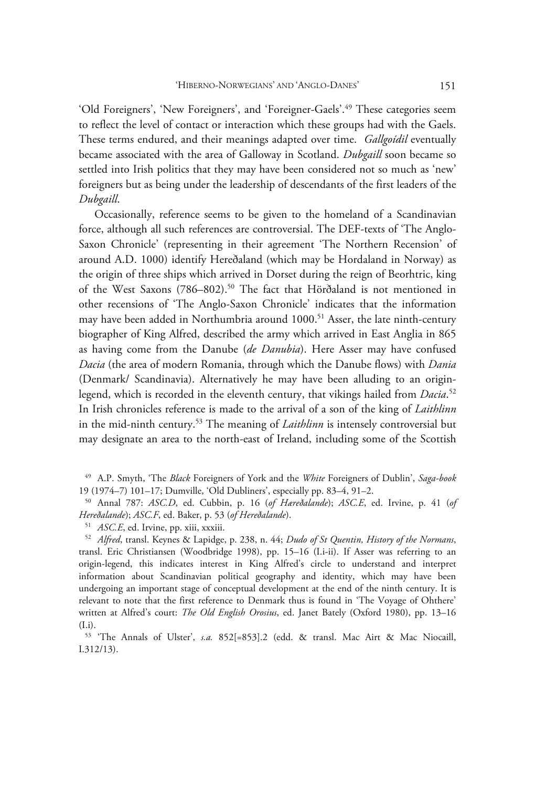'Old Foreigners', 'New Foreigners', and 'Foreigner-Gaels'.49 These categories seem to reflect the level of contact or interaction which these groups had with the Gaels. These terms endured, and their meanings adapted over time. *Gallgoídil* eventually became associated with the area of Galloway in Scotland. *Dubgaill* soon became so settled into Irish politics that they may have been considered not so much as 'new' foreigners but as being under the leadership of descendants of the first leaders of the *Dubgaill*.

Occasionally, reference seems to be given to the homeland of a Scandinavian force, although all such references are controversial. The DEF-texts of 'The Anglo-Saxon Chronicle' (representing in their agreement 'The Northern Recension' of around A.D. 1000) identify Hereðaland (which may be Hordaland in Norway) as the origin of three ships which arrived in Dorset during the reign of Beorhtric, king of the West Saxons (786–802).<sup>50</sup> The fact that Hörðaland is not mentioned in other recensions of 'The Anglo-Saxon Chronicle' indicates that the information may have been added in Northumbria around 1000.<sup>51</sup> Asser, the late ninth-century biographer of King Alfred, described the army which arrived in East Anglia in 865 as having come from the Danube (*de Danubia*). Here Asser may have confused *Dacia* (the area of modern Romania, through which the Danube flows) with *Dania*  (Denmark/ Scandinavia). Alternatively he may have been alluding to an originlegend, which is recorded in the eleventh century, that vikings hailed from *Dacia*. 52 In Irish chronicles reference is made to the arrival of a son of the king of *Laithlinn* in the mid-ninth century.53 The meaning of *Laithlinn* is intensely controversial but may designate an area to the north-east of Ireland, including some of the Scottish

<sup>49</sup> A.P. Smyth, 'The *Black* Foreigners of York and the *White* Foreigners of Dublin', *Saga-book* 19 (1974–7) 101–17; Dumville, 'Old Dubliners', especially pp. 83–4, 91–2. 50 Annal 787: *ASC.D*, ed. Cubbin, p. 16 (*of Hæreðalande*); *ASC.E*, ed. Irvine, p. 41 (*of* 

Hereðalande); ASC.F, ed. Baker, p. 53 (of Hereðalande).<br><sup>51</sup> ASC.E, ed. Irvine, pp. xiii, xxxiii.<br><sup>52</sup> Alfred, transl. Keynes & Lapidge, p. 238, n. 44; *Dudo of St Quentin, History of the Normans*,

transl. Eric Christiansen (Woodbridge 1998), pp. 15–16 (I.i-ii). If Asser was referring to an origin-legend, this indicates interest in King Alfred's circle to understand and interpret information about Scandinavian political geography and identity, which may have been undergoing an important stage of conceptual development at the end of the ninth century. It is relevant to note that the first reference to Denmark thus is found in 'The Voyage of Ohthere' written at Alfred's court: *The Old English Orosius*, ed. Janet Bately (Oxford 1980), pp. 13–16 (I.i).

<sup>53 &#</sup>x27;The Annals of Ulster', *s.a.* 852[=853].2 (edd. & transl. Mac Airt & Mac Niocaill, I.312/13).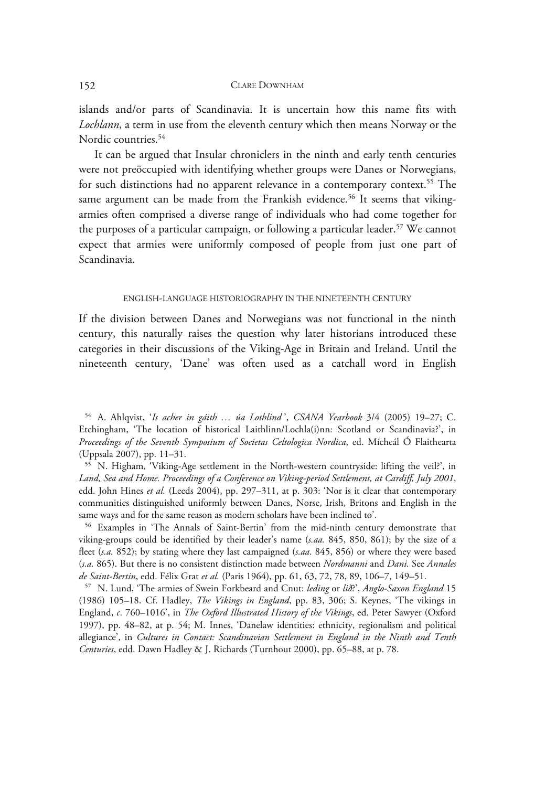islands and/or parts of Scandinavia. It is uncertain how this name fits with *Lochlann*, a term in use from the eleventh century which then means Norway or the Nordic countries.<sup>54</sup>

It can be argued that Insular chroniclers in the ninth and early tenth centuries were not preöccupied with identifying whether groups were Danes or Norwegians, for such distinctions had no apparent relevance in a contemporary context.<sup>55</sup> The same argument can be made from the Frankish evidence.<sup>56</sup> It seems that vikingarmies often comprised a diverse range of individuals who had come together for the purposes of a particular campaign, or following a particular leader.<sup>57</sup> We cannot expect that armies were uniformly composed of people from just one part of Scandinavia.

#### ENGLISH-LANGUAGE HISTORIOGRAPHY IN THE NINETEENTH CENTURY

If the division between Danes and Norwegians was not functional in the ninth century, this naturally raises the question why later historians introduced these categories in their discussions of the Viking-Age in Britain and Ireland. Until the nineteenth century, 'Dane' was often used as a catchall word in English

55 N. Higham, 'Viking-Age settlement in the North-western countryside: lifting the veil?', in *Land, Sea and Home. Proceedings of a Conference on Viking-period Settlement, at Cardiff, July 2001*, edd. John Hines *et al.* (Leeds 2004), pp. 297–311, at p. 303: 'Nor is it clear that contemporary communities distinguished uniformly between Danes, Norse, Irish, Britons and English in the same ways and for the same reason as modern scholars have been inclined to'.

56 Examples in 'The Annals of Saint-Bertin' from the mid-ninth century demonstrate that viking-groups could be identified by their leader's name (*s.aa.* 845, 850, 861); by the size of a fleet (*s.a.* 852); by stating where they last campaigned (*s.aa.* 845, 856) or where they were based (*s.a.* 865). But there is no consistent distinction made between *Nordmanni* and *Dani.* See *Annales de Saint-Bertin*, edd. Félix Grat *et al.* (Paris 1964), pp. 61, 63, 72, 78, 89, 106–7, 149–51.

57 N. Lund, 'The armies of Swein Forkbeard and Cnut: *leding* or *lið*?', *Anglo-Saxon England* 15 (1986) 105–18. Cf. Hadley, *The Vikings in England*, pp. 83, 306; S. Keynes, 'The vikings in England, *c*. 760–1016', in *The Oxford Illustrated History of the Vikings*, ed. Peter Sawyer (Oxford 1997), pp. 48–82, at p. 54; M. Innes, 'Danelaw identities: ethnicity, regionalism and political allegiance', in *Cultures in Contact: Scandinavian Settlement in England in the Ninth and Tenth Centuries*, edd. Dawn Hadley & J. Richards (Turnhout 2000), pp. 65–88, at p. 78.

<sup>54</sup> A. Ahlqvist, '*Is acher in gáith … úa Lothlind* ', *CSANA Yearbook* 3/4 (2005) 19–27; C. Etchingham, 'The location of historical Laithlinn/Lochla(i)nn: Scotland or Scandinavia?', in *Proceedings of the Seventh Symposium of Societas Celtologica Nordica*, ed. Mícheál Ó Flaithearta (Uppsala 2007), pp. 11–31.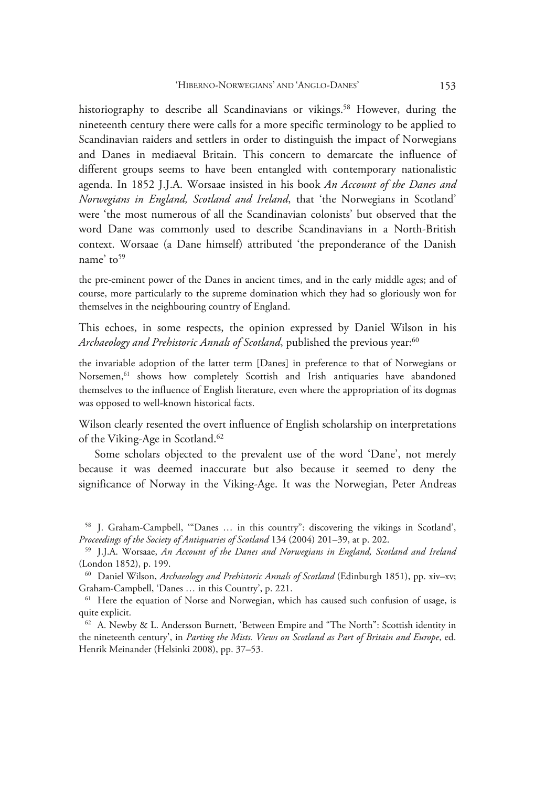historiography to describe all Scandinavians or vikings.<sup>58</sup> However, during the nineteenth century there were calls for a more specific terminology to be applied to Scandinavian raiders and settlers in order to distinguish the impact of Norwegians and Danes in mediaeval Britain. This concern to demarcate the influence of different groups seems to have been entangled with contemporary nationalistic agenda. In 1852 J.J.A. Worsaae insisted in his book *An Account of the Danes and Norwegians in England, Scotland and Ireland*, that 'the Norwegians in Scotland' were 'the most numerous of all the Scandinavian colonists' but observed that the word Dane was commonly used to describe Scandinavians in a North-British context. Worsaae (a Dane himself) attributed 'the preponderance of the Danish name' to $59$ 

the pre-eminent power of the Danes in ancient times, and in the early middle ages; and of course, more particularly to the supreme domination which they had so gloriously won for themselves in the neighbouring country of England.

This echoes, in some respects, the opinion expressed by Daniel Wilson in his *Archaeology and Prehistoric Annals of Scotland*, published the previous year:<sup>60</sup>

the invariable adoption of the latter term [Danes] in preference to that of Norwegians or Norsemen,<sup>61</sup> shows how completely Scottish and Irish antiquaries have abandoned themselves to the influence of English literature, even where the appropriation of its dogmas was opposed to well-known historical facts.

Wilson clearly resented the overt influence of English scholarship on interpretations of the Viking-Age in Scotland.62

Some scholars objected to the prevalent use of the word 'Dane', not merely because it was deemed inaccurate but also because it seemed to deny the significance of Norway in the Viking-Age. It was the Norwegian, Peter Andreas

<sup>58</sup> J. Graham-Campbell, '"Danes … in this country": discovering the vikings in Scotland', *Proceedings of the Society of Antiquaries of Scotland* 134 (2004) 201–39, at p. 202. 59 J.J.A. Worsaae, *An Account of the Danes and Norwegians in England, Scotland and Ireland*

<sup>(</sup>London 1852), p. 199.

<sup>60</sup> Daniel Wilson, *Archaeology and Prehistoric Annals of Scotland* (Edinburgh 1851), pp. xiv–xv; Graham-Campbell, 'Danes ... in this Country', p. 221.<br><sup>61</sup> Here the equation of Norse and Norwegian, which has caused such confusion of usage, is

quite explicit.

<sup>62</sup> A. Newby & L. Andersson Burnett, 'Between Empire and "The North": Scottish identity in the nineteenth century', in *Parting the Mists. Views on Scotland as Part of Britain and Europe*, ed. Henrik Meinander (Helsinki 2008), pp. 37–53.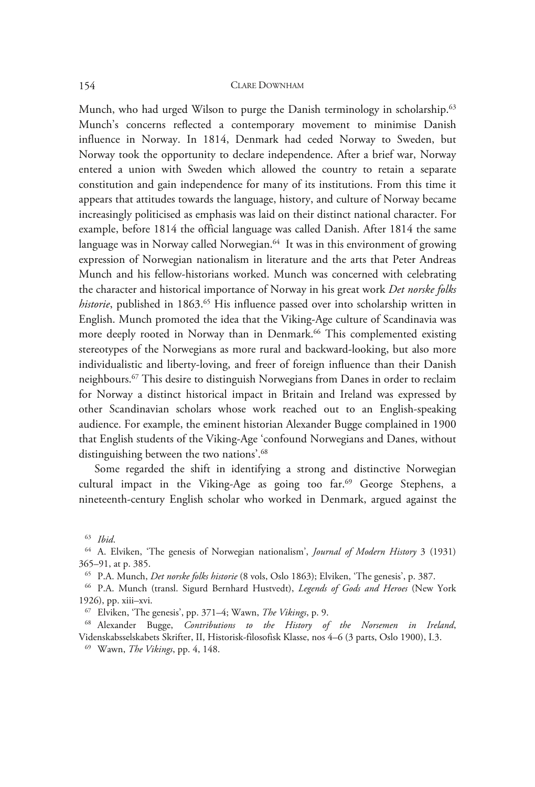Munch, who had urged Wilson to purge the Danish terminology in scholarship.<sup>63</sup> Munch's concerns reflected a contemporary movement to minimise Danish influence in Norway. In 1814, Denmark had ceded Norway to Sweden, but Norway took the opportunity to declare independence. After a brief war, Norway entered a union with Sweden which allowed the country to retain a separate constitution and gain independence for many of its institutions. From this time it appears that attitudes towards the language, history, and culture of Norway became increasingly politicised as emphasis was laid on their distinct national character. For example, before 1814 the official language was called Danish. After 1814 the same language was in Norway called Norwegian.<sup>64</sup> It was in this environment of growing expression of Norwegian nationalism in literature and the arts that Peter Andreas Munch and his fellow-historians worked. Munch was concerned with celebrating the character and historical importance of Norway in his great work *Det norske folks historie*, published in 1863.<sup>65</sup> His influence passed over into scholarship written in English. Munch promoted the idea that the Viking-Age culture of Scandinavia was more deeply rooted in Norway than in Denmark.<sup>66</sup> This complemented existing stereotypes of the Norwegians as more rural and backward-looking, but also more individualistic and liberty-loving, and freer of foreign influence than their Danish neighbours.67 This desire to distinguish Norwegians from Danes in order to reclaim for Norway a distinct historical impact in Britain and Ireland was expressed by other Scandinavian scholars whose work reached out to an English-speaking audience. For example, the eminent historian Alexander Bugge complained in 1900 that English students of the Viking-Age 'confound Norwegians and Danes, without distinguishing between the two nations'.<sup>68</sup>

Some regarded the shift in identifying a strong and distinctive Norwegian cultural impact in the Viking-Age as going too far.<sup>69</sup> George Stephens, a nineteenth-century English scholar who worked in Denmark, argued against the

<sup>63</sup> *Ibid*. 64 A. Elviken, 'The genesis of Norwegian nationalism', *Journal of Modern History* 3 (1931) 365–91, at p. 385.

<sup>65</sup> P.A. Munch, *Det norske folks historie* (8 vols, Oslo 1863); Elviken, 'The genesis', p. 387. 66 P.A. Munch (transl. Sigurd Bernhard Hustvedt), *Legends of Gods and Heroes* (New York

<sup>1926),</sup> pp. xiii–xvi.

<sup>67</sup> Elviken, 'The genesis', pp. 371–4; Wawn, *The Vikings*, p. 9. 68 Alexander Bugge, *Contributions to the History of the Norsemen in Ireland*, Videnskabsselskabets Skrifter, II, Historisk-filosofisk Klasse, nos 4–6 (3 parts, Oslo 1900), I.3. 69 Wawn, *The Vikings*, pp. 4, 148.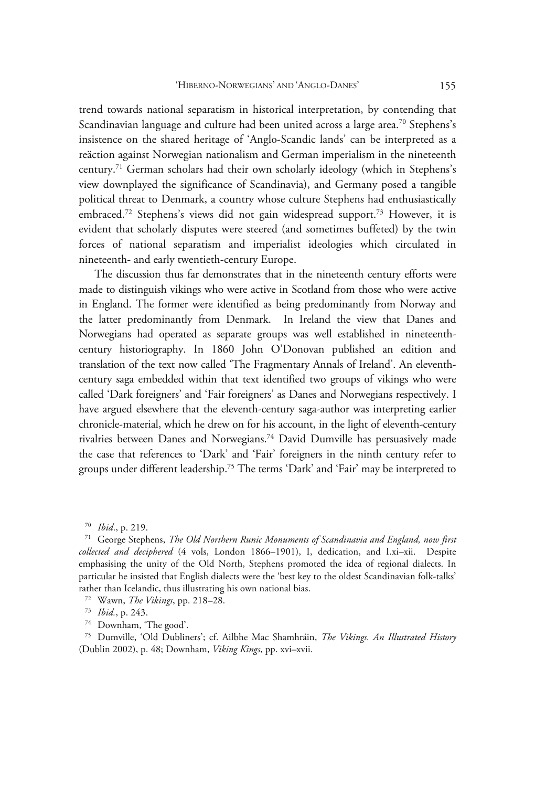trend towards national separatism in historical interpretation, by contending that Scandinavian language and culture had been united across a large area.<sup>70</sup> Stephens's insistence on the shared heritage of 'Anglo-Scandic lands' can be interpreted as a reäction against Norwegian nationalism and German imperialism in the nineteenth century.71 German scholars had their own scholarly ideology (which in Stephens's view downplayed the significance of Scandinavia), and Germany posed a tangible political threat to Denmark, a country whose culture Stephens had enthusiastically embraced.<sup>72</sup> Stephens's views did not gain widespread support.<sup>73</sup> However, it is evident that scholarly disputes were steered (and sometimes buffeted) by the twin forces of national separatism and imperialist ideologies which circulated in nineteenth- and early twentieth-century Europe.

The discussion thus far demonstrates that in the nineteenth century efforts were made to distinguish vikings who were active in Scotland from those who were active in England. The former were identified as being predominantly from Norway and the latter predominantly from Denmark. In Ireland the view that Danes and Norwegians had operated as separate groups was well established in nineteenthcentury historiography. In 1860 John O'Donovan published an edition and translation of the text now called 'The Fragmentary Annals of Ireland'. An eleventhcentury saga embedded within that text identified two groups of vikings who were called 'Dark foreigners' and 'Fair foreigners' as Danes and Norwegians respectively. I have argued elsewhere that the eleventh-century saga-author was interpreting earlier chronicle-material, which he drew on for his account, in the light of eleventh-century rivalries between Danes and Norwegians.74 David Dumville has persuasively made the case that references to 'Dark' and 'Fair' foreigners in the ninth century refer to groups under different leadership.75 The terms 'Dark' and 'Fair' may be interpreted to

75 Dumville, 'Old Dubliners'; cf. Ailbhe Mac Shamhráin, *The Vikings. An Illustrated History* (Dublin 2002), p. 48; Downham, *Viking Kings*, pp. xvi–xvii.

<sup>&</sup>lt;sup>70</sup> *Ibid.*, p. 219.<br><sup>71</sup> George Stephens, *The Old Northern Runic Monuments of Scandinavia and England, now first collected and deciphered* (4 vols, London 1866–1901), I, dedication, and I.xi–xii. Despite emphasising the unity of the Old North, Stephens promoted the idea of regional dialects. In particular he insisted that English dialects were the 'best key to the oldest Scandinavian folk-talks' rather than Icelandic, thus illustrating his own national bias. 72 Wawn, *The Vikings*, pp. 218–28. 73 *Ibid.*, p. 243. 74 Downham, 'The good'.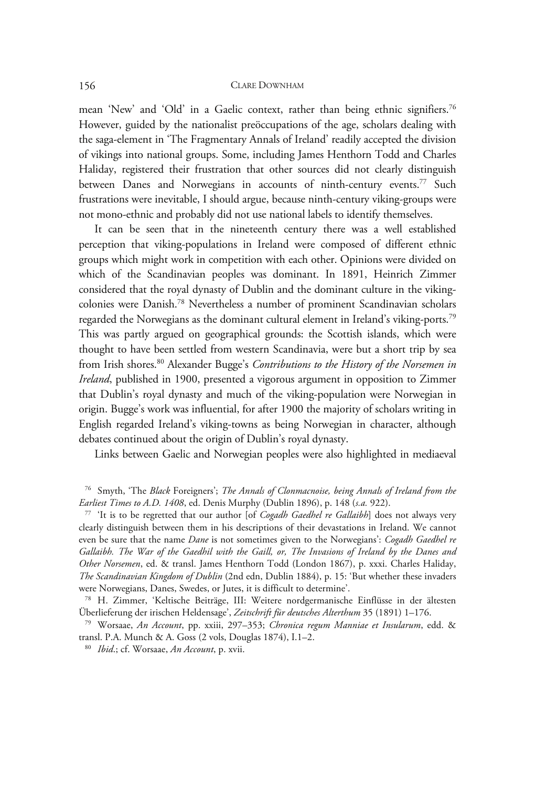mean 'New' and 'Old' in a Gaelic context, rather than being ethnic signifiers.<sup>76</sup> However, guided by the nationalist preöccupations of the age, scholars dealing with the saga-element in 'The Fragmentary Annals of Ireland' readily accepted the division of vikings into national groups. Some, including James Henthorn Todd and Charles Haliday, registered their frustration that other sources did not clearly distinguish between Danes and Norwegians in accounts of ninth-century events.<sup>77</sup> Such frustrations were inevitable, I should argue, because ninth-century viking-groups were not mono-ethnic and probably did not use national labels to identify themselves.

It can be seen that in the nineteenth century there was a well established perception that viking-populations in Ireland were composed of different ethnic groups which might work in competition with each other. Opinions were divided on which of the Scandinavian peoples was dominant. In 1891, Heinrich Zimmer considered that the royal dynasty of Dublin and the dominant culture in the vikingcolonies were Danish.78 Nevertheless a number of prominent Scandinavian scholars regarded the Norwegians as the dominant cultural element in Ireland's viking-ports.79 This was partly argued on geographical grounds: the Scottish islands, which were thought to have been settled from western Scandinavia, were but a short trip by sea from Irish shores.80 Alexander Bugge's *Contributions to the History of the Norsemen in Ireland*, published in 1900, presented a vigorous argument in opposition to Zimmer that Dublin's royal dynasty and much of the viking-population were Norwegian in origin. Bugge's work was influential, for after 1900 the majority of scholars writing in English regarded Ireland's viking-towns as being Norwegian in character, although debates continued about the origin of Dublin's royal dynasty.

Links between Gaelic and Norwegian peoples were also highlighted in mediaeval

clearly distinguish between them in his descriptions of their devastations in Ireland. We cannot even be sure that the name *Dane* is not sometimes given to the Norwegians': *Cogadh Gaedhel re Gallaibh. The War of the Gaedhil with the Gaill, or, The Invasions of Ireland by the Danes and Other Norsemen*, ed. & transl. James Henthorn Todd (London 1867), p. xxxi. Charles Haliday, *The Scandinavian Kingdom of Dublin* (2nd edn, Dublin 1884), p. 15: 'But whether these invaders were Norwegians, Danes, Swedes, or Jutes, it is difficult to determine'.

<sup>78</sup> H. Zimmer, 'Keltische Beiträge, III: Weitere nordgermanische Einflüsse in der ältesten Überlieferung der irischen Heldensage', *Zeitschrift für deutsches Alterthum* 35 (1891) 1–176. 79 Worsaae, *An Account*, pp. xxiii, 297–353; *Chronica regum Manniae et Insularum*, edd. &

transl. P.A. Munch & A. Goss (2 vols, Douglas 1874), I.1–2. 80 *Ibid*.; cf. Worsaae, *An Account*, p. xvii.

<sup>76</sup> Smyth, 'The *Black* Foreigners'; *The Annals of Clonmacnoise, being Annals of Ireland from the Earliest Times to A.D. 1408*, ed. Denis Murphy (Dublin 1896), p. 148 (*s.a.* 922).<br><sup>77</sup> 'It is to be regretted that our author [of *Cogadh Gaedhel re Gallaibh*] does not always very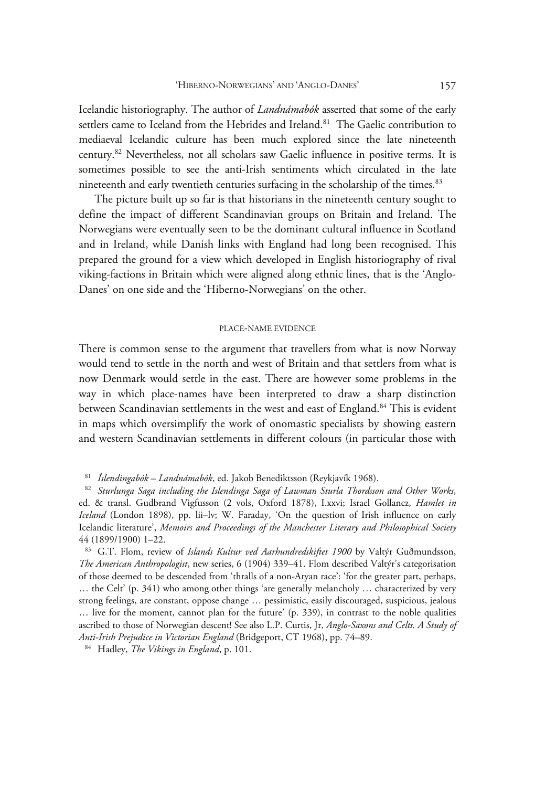Icelandic historiography. The author of *Landnámabók* asserted that some of the early settlers came to Iceland from the Hebrides and Ireland.<sup>81</sup> The Gaelic contribution to mediaeval Icelandic culture has been much explored since the late nineteenth century.82 Nevertheless, not all scholars saw Gaelic influence in positive terms. It is sometimes possible to see the anti-Irish sentiments which circulated in the late nineteenth and early twentieth centuries surfacing in the scholarship of the times.<sup>83</sup>

The picture built up so far is that historians in the nineteenth century sought to define the impact of different Scandinavian groups on Britain and Ireland. The Norwegians were eventually seen to be the dominant cultural influence in Scotland and in Ireland, while Danish links with England had long been recognised. This prepared the ground for a view which developed in English historiography of rival viking-factions in Britain which were aligned along ethnic lines, that is the 'Anglo-Danes' on one side and the 'Hiberno-Norwegians' on the other.

## PLACE-NAME EVIDENCE

There is common sense to the argument that travellers from what is now Norway would tend to settle in the north and west of Britain and that settlers from what is now Denmark would settle in the east. There are however some problems in the way in which place-names have been interpreted to draw a sharp distinction between Scandinavian settlements in the west and east of England.<sup>84</sup> This is evident in maps which oversimplify the work of onomastic specialists by showing eastern and western Scandinavian settlements in different colours (in particular those with

… the Celt' (p. 341) who among other things 'are generally melancholy … characterized by very strong feelings, are constant, oppose change … pessimistic, easily discouraged, suspicious, jealous … live for the moment, cannot plan for the future' (p. 339), in contrast to the noble qualities ascribed to those of Norwegian descent! See also L.P. Curtis, Jr, *Anglo-Saxons and Celts. A Study of Anti-Irish Prejudice in Victorian England* (Bridgeport, CT 1968), pp. 74–89. 84 Hadley, *The Vikings in England*, p. 101.

<sup>81</sup> *Íslendingabók – Landnámabók*, ed. Jakob Benediktsson (Reykjavík 1968). 82 *Sturlunga Saga including the Islendinga Saga of Lawman Sturla Thordsson and Other Works*, ed. & transl. Gudbrand Vigfusson (2 vols, Oxford 1878), I.xxvi; Israel Gollancz, *Hamlet in Iceland* (London 1898), pp. lii–lv; W. Faraday, 'On the question of Irish influence on early Icelandic literature', *Memoirs and Proceedings of the Manchester Literary and Philosophical Society* 44 (1899/1900) 1–22.

<sup>83</sup> G.T. Flom, review of *Islands Kultur ved Aarhundredskiftet 1900* by Valtýr Guðmundsson, *The American Anthropologist*, new series, 6 (1904) 339–41. Flom described Valtýr's categorisation of those deemed to be descended from 'thralls of a non-Aryan race': 'for the greater part, perhaps,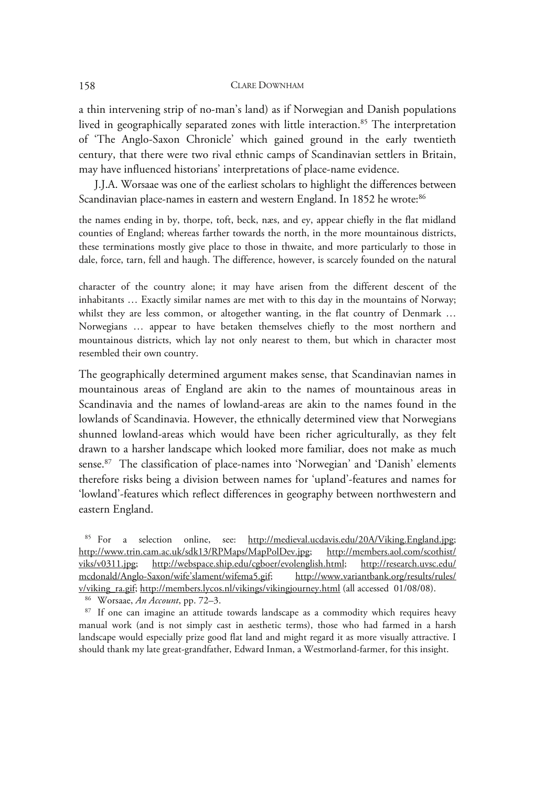a thin intervening strip of no-man's land) as if Norwegian and Danish populations lived in geographically separated zones with little interaction.<sup>85</sup> The interpretation of 'The Anglo-Saxon Chronicle' which gained ground in the early twentieth century, that there were two rival ethnic camps of Scandinavian settlers in Britain, may have influenced historians' interpretations of place-name evidence.

J.J.A. Worsaae was one of the earliest scholars to highlight the differences between Scandinavian place-names in eastern and western England. In 1852 he wrote:<sup>86</sup>

the names ending in by, thorpe, toft, beck, næs, and ey, appear chiefly in the flat midland counties of England; whereas farther towards the north, in the more mountainous districts, these terminations mostly give place to those in thwaite, and more particularly to those in dale, force, tarn, fell and haugh. The difference, however, is scarcely founded on the natural

character of the country alone; it may have arisen from the different descent of the inhabitants … Exactly similar names are met with to this day in the mountains of Norway; whilst they are less common, or altogether wanting, in the flat country of Denmark … Norwegians … appear to have betaken themselves chiefly to the most northern and mountainous districts, which lay not only nearest to them, but which in character most resembled their own country.

The geographically determined argument makes sense, that Scandinavian names in mountainous areas of England are akin to the names of mountainous areas in Scandinavia and the names of lowland-areas are akin to the names found in the lowlands of Scandinavia. However, the ethnically determined view that Norwegians shunned lowland-areas which would have been richer agriculturally, as they felt drawn to a harsher landscape which looked more familiar, does not make as much sense.87 The classification of place-names into 'Norwegian' and 'Danish' elements therefore risks being a division between names for 'upland'-features and names for 'lowland'-features which reflect differences in geography between northwestern and eastern England.

85 For a selection online, see: http://medieval.ucdavis.edu/20A/Viking.England.jpg; http://www.trin.cam.ac.uk/sdk13/RPMaps/MapPolDev.jpg; http://members.aol.com/scothist/ viks/v0311.jpg; http://webspace.ship.edu/cgboer/evolenglish.html; http://research.uvsc.edu/ mcdonald/Anglo-Saxon/wife'slament/wifema5.gif; http://www.variantbank.org/results/rules/ v/viking\_ra.gif; http://members.lycos.nl/vikings/vikingjourney.html (all accessed 01/08/08).<br><sup>86</sup> Worsaae, *An Account*, pp. 72–3.<br><sup>87</sup> If one can imagine an attitude towards landscape as a commodity which requires heavy

manual work (and is not simply cast in aesthetic terms), those who had farmed in a harsh landscape would especially prize good flat land and might regard it as more visually attractive. I should thank my late great-grandfather, Edward Inman, a Westmorland-farmer, for this insight.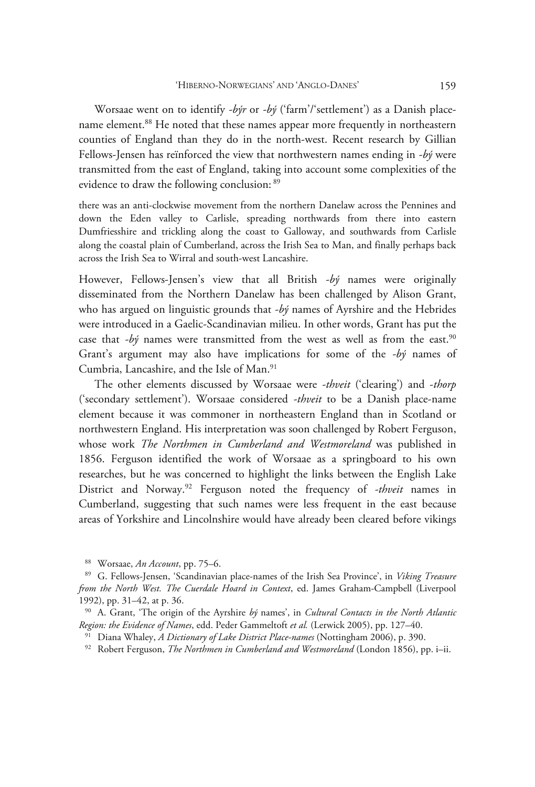Worsaae went on to identify *-býr* or *-bý* ('farm'/'settlement') as a Danish placename element.<sup>88</sup> He noted that these names appear more frequently in northeastern counties of England than they do in the north-west. Recent research by Gillian Fellows-Jensen has reïnforced the view that northwestern names ending in *-bý* were transmitted from the east of England, taking into account some complexities of the evidence to draw the following conclusion: 89

there was an anti-clockwise movement from the northern Danelaw across the Pennines and down the Eden valley to Carlisle, spreading northwards from there into eastern Dumfriesshire and trickling along the coast to Galloway, and southwards from Carlisle along the coastal plain of Cumberland, across the Irish Sea to Man, and finally perhaps back across the Irish Sea to Wirral and south-west Lancashire.

However, Fellows-Jensen's view that all British *-bý* names were originally disseminated from the Northern Danelaw has been challenged by Alison Grant, who has argued on linguistic grounds that *-bý* names of Ayrshire and the Hebrides were introduced in a Gaelic-Scandinavian milieu. In other words, Grant has put the case that  $-b$ *ý* names were transmitted from the west as well as from the east.<sup>90</sup> Grant's argument may also have implications for some of the *-bý* names of Cumbria, Lancashire, and the Isle of Man.<sup>91</sup>

The other elements discussed by Worsaae were *-thveit* ('clearing') and -*thorp*  ('secondary settlement'). Worsaae considered *-thveit* to be a Danish place-name element because it was commoner in northeastern England than in Scotland or northwestern England. His interpretation was soon challenged by Robert Ferguson, whose work *The Northmen in Cumberland and Westmoreland* was published in 1856. Ferguson identified the work of Worsaae as a springboard to his own researches, but he was concerned to highlight the links between the English Lake District and Norway.92 Ferguson noted the frequency of *-thveit* names in Cumberland, suggesting that such names were less frequent in the east because areas of Yorkshire and Lincolnshire would have already been cleared before vikings

<sup>88</sup> Worsaae, *An Account*, pp. 75–6. 89 G. Fellows-Jensen, 'Scandinavian place-names of the Irish Sea Province', in *Viking Treasure from the North West. The Cuerdale Hoard in Context*, ed. James Graham-Campbell (Liverpool 1992), pp. 31–42, at p. 36. 90 A. Grant, 'The origin of the Ayrshire *bý* names', in *Cultural Contacts in the North Atlantic* 

Region: the Evidence of Names, edd. Peder Gammeltoft et al. (Lerwick 2005), pp. 127–40.<br><sup>91</sup> Diana Whaley, *A Dictionary of Lake District Place-names* (Nottingham 2006), p. 390.<br><sup>92</sup> Robert Ferguson, *The Northmen in Cumbe*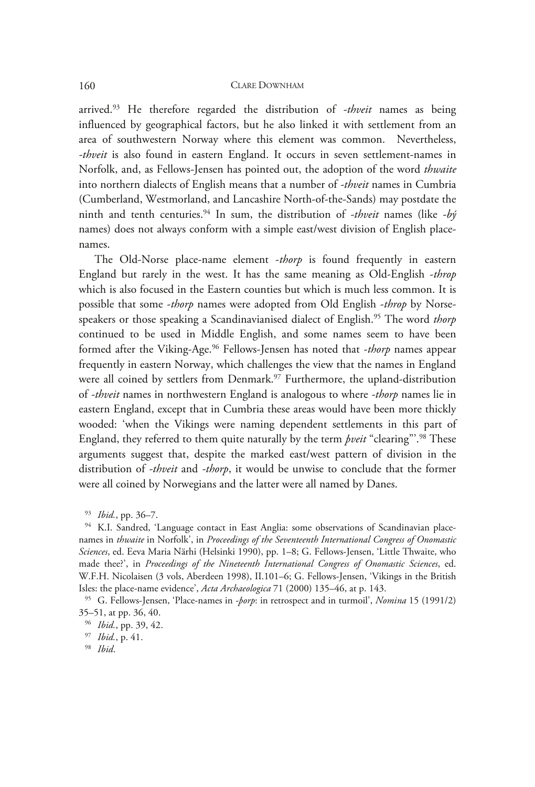arrived.93 He therefore regarded the distribution of *-thveit* names as being influenced by geographical factors, but he also linked it with settlement from an area of southwestern Norway where this element was common. Nevertheless, *-thveit* is also found in eastern England. It occurs in seven settlement-names in Norfolk, and, as Fellows-Jensen has pointed out, the adoption of the word *thwaite* into northern dialects of English means that a number of *-thveit* names in Cumbria (Cumberland, Westmorland, and Lancashire North-of-the-Sands) may postdate the ninth and tenth centuries.94 In sum, the distribution of *-thveit* names (like *-bý* names) does not always conform with a simple east/west division of English placenames.

The Old-Norse place-name element -*thorp* is found frequently in eastern England but rarely in the west. It has the same meaning as Old-English -*throp* which is also focused in the Eastern counties but which is much less common. It is possible that some -*thorp* names were adopted from Old English -*throp* by Norsespeakers or those speaking a Scandinavianised dialect of English.95 The word *thorp*  continued to be used in Middle English, and some names seem to have been formed after the Viking-Age.96 Fellows-Jensen has noted that -*thorp* names appear frequently in eastern Norway, which challenges the view that the names in England were all coined by settlers from Denmark.<sup>97</sup> Furthermore, the upland-distribution of *-thveit* names in northwestern England is analogous to where *-thorp* names lie in eastern England, except that in Cumbria these areas would have been more thickly wooded: 'when the Vikings were naming dependent settlements in this part of England, they referred to them quite naturally by the term *þveit* "clearing"'.98 These arguments suggest that, despite the marked east/west pattern of division in the distribution of *-thveit* and *-thorp*, it would be unwise to conclude that the former were all coined by Norwegians and the latter were all named by Danes.

93 *Ibid.*, pp. 36–7.<br>94 K.I. Sandred, 'Language contact in East Anglia: some observations of Scandinavian placenames in *thwaite* in Norfolk', in *Proceedings of the Seventeenth International Congress of Onomastic Sciences*, ed. Eeva Maria Närhi (Helsinki 1990), pp. 1–8; G. Fellows-Jensen, 'Little Thwaite, who made thee?', in *Proceedings of the Nineteenth International Congress of Onomastic Sciences*, ed. W.F.H. Nicolaisen (3 vols, Aberdeen 1998), II.101–6; G. Fellows-Jensen, 'Vikings in the British Isles: the place-name evidence', *Acta Archaeologica* 71 (2000) 135–46, at p. 143. 95 G. Fellows-Jensen, 'Place-names in *-þorp*: in retrospect and in turmoil', *Nomina* 15 (1991/2)

35–51, at pp. 36, 40.

<sup>96</sup> *Ibid.*, pp. 39, 42. 97 *Ibid.*, p. 41. 98 *Ibid*.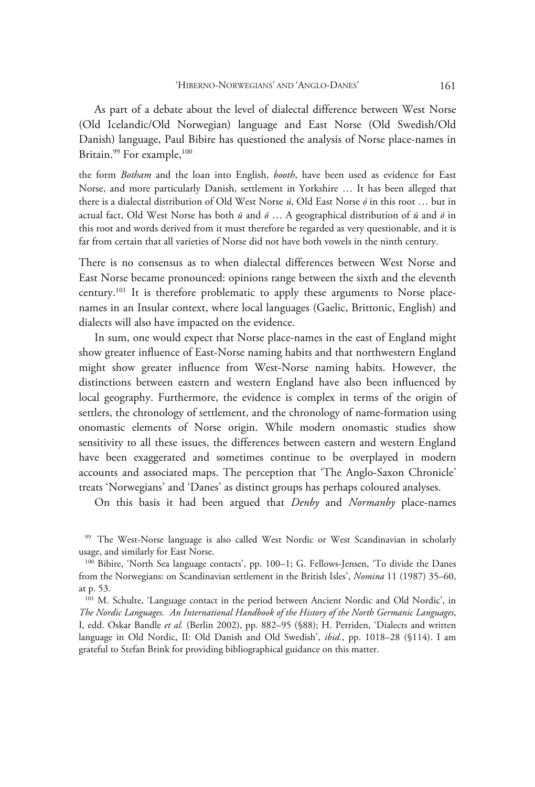As part of a debate about the level of dialectal difference between West Norse (Old Icelandic/Old Norwegian) language and East Norse (Old Swedish/Old Danish) language, Paul Bibire has questioned the analysis of Norse place-names in Britain.<sup>99</sup> For example,<sup>100</sup>

the form *Botham* and the loan into English, *booth*, have been used as evidence for East Norse, and more particularly Danish, settlement in Yorkshire … It has been alleged that there is a dialectal distribution of Old West Norse *ú*, Old East Norse *ó* in this root … but in actual fact, Old West Norse has both *ū* and *ō* … A geographical distribution of *ū* and *ō* in this root and words derived from it must therefore be regarded as very questionable, and it is far from certain that all varieties of Norse did not have both vowels in the ninth century.

There is no consensus as to when dialectal differences between West Norse and East Norse became pronounced: opinions range between the sixth and the eleventh century.101 It is therefore problematic to apply these arguments to Norse placenames in an Insular context, where local languages (Gaelic, Brittonic, English) and dialects will also have impacted on the evidence.

In sum, one would expect that Norse place-names in the east of England might show greater influence of East-Norse naming habits and that northwestern England might show greater influence from West-Norse naming habits. However, the distinctions between eastern and western England have also been influenced by local geography. Furthermore, the evidence is complex in terms of the origin of settlers, the chronology of settlement, and the chronology of name-formation using onomastic elements of Norse origin. While modern onomastic studies show sensitivity to all these issues, the differences between eastern and western England have been exaggerated and sometimes continue to be overplayed in modern accounts and associated maps. The perception that 'The Anglo-Saxon Chronicle' treats 'Norwegians' and 'Danes' as distinct groups has perhaps coloured analyses.

On this basis it had been argued that *Denby* and *Normanby* place-names

<sup>99</sup> The West-Norse language is also called West Nordic or West Scandinavian in scholarly usage, and similarly for East Norse.

<sup>100</sup> Bibire, 'North Sea language contacts', pp. 100–1; G. Fellows-Jensen, 'To divide the Danes from the Norwegians: on Scandinavian settlement in the British Isles', *Nomina* 11 (1987) 35–60, at p. 53.

<sup>&</sup>lt;sup>101</sup> M. Schulte, 'Language contact in the period between Ancient Nordic and Old Nordic', in *The Nordic Languages. An International Handbook of the History of the North Germanic Languages*, I, edd. Oskar Bandle *et al.* (Berlin 2002), pp. 882–95 (§88); H. Perriden, 'Dialects and written language in Old Nordic, II: Old Danish and Old Swedish', *ibid.*, pp. 1018–28 (§114). I am grateful to Stefan Brink for providing bibliographical guidance on this matter.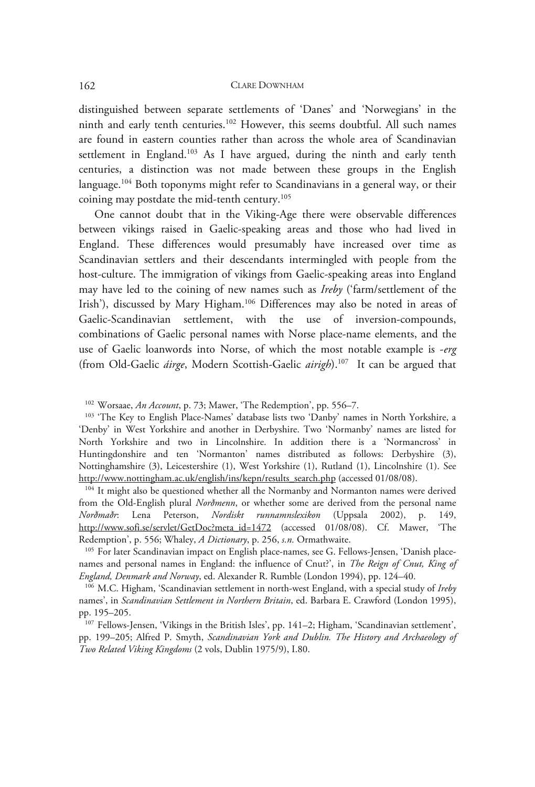distinguished between separate settlements of 'Danes' and 'Norwegians' in the ninth and early tenth centuries.102 However, this seems doubtful. All such names are found in eastern counties rather than across the whole area of Scandinavian settlement in England.<sup>103</sup> As I have argued, during the ninth and early tenth centuries, a distinction was not made between these groups in the English language.<sup>104</sup> Both toponyms might refer to Scandinavians in a general way, or their coining may postdate the mid-tenth century.<sup>105</sup>

One cannot doubt that in the Viking-Age there were observable differences between vikings raised in Gaelic-speaking areas and those who had lived in England. These differences would presumably have increased over time as Scandinavian settlers and their descendants intermingled with people from the host-culture. The immigration of vikings from Gaelic-speaking areas into England may have led to the coining of new names such as *Ireby* ('farm/settlement of the Irish'), discussed by Mary Higham.<sup>106</sup> Differences may also be noted in areas of Gaelic-Scandinavian settlement, with the use of inversion-compounds, combinations of Gaelic personal names with Norse place-name elements, and the use of Gaelic loanwords into Norse, of which the most notable example is -*erg*  (from Old-Gaelic *áirge*, Modern Scottish-Gaelic *airigh*). 107 It can be argued that

from the Old-English plural *Norðmenn*, or whether some are derived from the personal name *Norðmaðr*: Lena Peterson, *Nordiskt runnamnslexikon* (Uppsala 2002), p. 149, http://www.sofi.se/servlet/GetDoc?meta\_id=1472 (accessed 01/08/08). Cf. Mawer, 'The Redemption', p. 556; Whaley, *A Dictionary*, p. 256, *s.n.* Ormathwaite.<br><sup>105</sup> For later Scandinavian impact on English place-names, see G. Fellows-Jensen, 'Danish place-

names and personal names in England: the influence of Cnut?', in *The Reign of Cnut, King of England, Denmark and Norway*, ed. Alexander R. Rumble (London 1994), pp. 124–40. 106 M.C. Higham, 'Scandinavian settlement in north-west England, with a special study of *Ireby*

names', in *Scandinavian Settlement in Northern Britain*, ed. Barbara E. Crawford (London 1995), pp. 195–205.

107 Fellows-Jensen, 'Vikings in the British Isles', pp. 141–2; Higham, 'Scandinavian settlement', pp. 199–205; Alfred P. Smyth, *Scandinavian York and Dublin. The History and Archaeology of Two Related Viking Kingdoms* (2 vols, Dublin 1975/9), I.80.

<sup>&</sup>lt;sup>102</sup> Worsaae, *An Account*, p. 73; Mawer, 'The Redemption', pp. 556–7.<br><sup>103</sup> 'The Key to English Place-Names' database lists two 'Danby' names in North Yorkshire, a 'Denby' in West Yorkshire and another in Derbyshire. Two 'Normanby' names are listed for North Yorkshire and two in Lincolnshire. In addition there is a 'Normancross' in Huntingdonshire and ten 'Normanton' names distributed as follows: Derbyshire (3), Nottinghamshire (3), Leicestershire (1), West Yorkshire (1), Rutland (1), Lincolnshire (1). See http://www.nottingham.ac.uk/english/ins/kepn/results\_search.php (accessed 01/08/08). 104 It might also be questioned whether all the Normanby and Normanton names were derived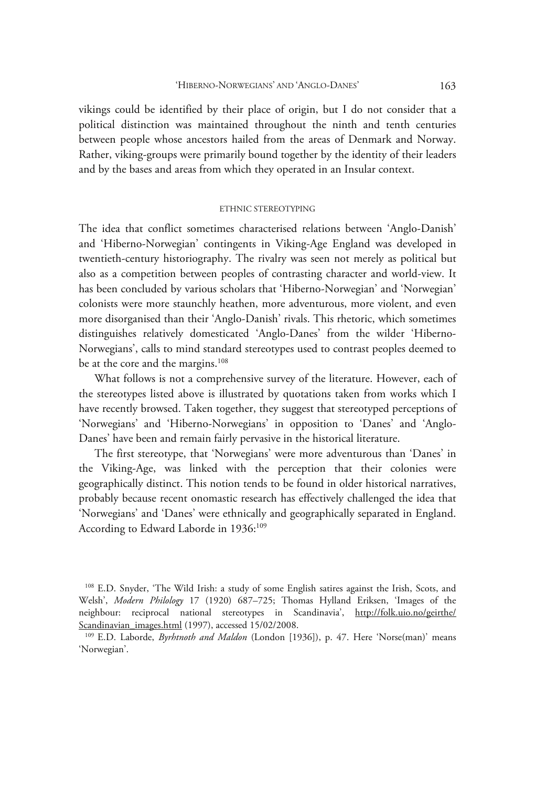vikings could be identified by their place of origin, but I do not consider that a political distinction was maintained throughout the ninth and tenth centuries between people whose ancestors hailed from the areas of Denmark and Norway. Rather, viking-groups were primarily bound together by the identity of their leaders and by the bases and areas from which they operated in an Insular context.

## ETHNIC STEREOTYPING

The idea that conflict sometimes characterised relations between 'Anglo-Danish' and 'Hiberno-Norwegian' contingents in Viking-Age England was developed in twentieth-century historiography. The rivalry was seen not merely as political but also as a competition between peoples of contrasting character and world-view. It has been concluded by various scholars that 'Hiberno-Norwegian' and 'Norwegian' colonists were more staunchly heathen, more adventurous, more violent, and even more disorganised than their 'Anglo-Danish' rivals. This rhetoric, which sometimes distinguishes relatively domesticated 'Anglo-Danes' from the wilder 'Hiberno-Norwegians', calls to mind standard stereotypes used to contrast peoples deemed to be at the core and the margins.<sup>108</sup>

What follows is not a comprehensive survey of the literature. However, each of the stereotypes listed above is illustrated by quotations taken from works which I have recently browsed. Taken together, they suggest that stereotyped perceptions of 'Norwegians' and 'Hiberno-Norwegians' in opposition to 'Danes' and 'Anglo-Danes' have been and remain fairly pervasive in the historical literature.

The first stereotype, that 'Norwegians' were more adventurous than 'Danes' in the Viking-Age, was linked with the perception that their colonies were geographically distinct. This notion tends to be found in older historical narratives, probably because recent onomastic research has effectively challenged the idea that 'Norwegians' and 'Danes' were ethnically and geographically separated in England. According to Edward Laborde in 1936:<sup>109</sup>

<sup>108</sup> E.D. Snyder, 'The Wild Irish: a study of some English satires against the Irish, Scots, and Welsh', *Modern Philology* 17 (1920) 687–725; Thomas Hylland Eriksen, 'Images of the neighbour: reciprocal national stereotypes in Scandinavia', http://folk.uio.no/geirthe/ Scandinavian\_images.html (1997), accessed 15/02/2008.<br><sup>109</sup> E.D. Laborde, *Byrhtnoth and Maldon* (London [1936]), p. 47. Here 'Norse(man)' means

<sup>&#</sup>x27;Norwegian'.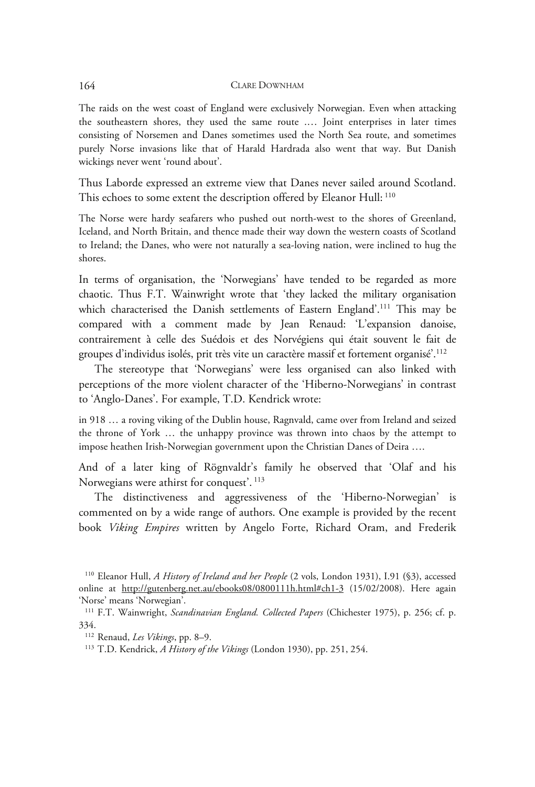The raids on the west coast of England were exclusively Norwegian. Even when attacking the southeastern shores, they used the same route .… Joint enterprises in later times consisting of Norsemen and Danes sometimes used the North Sea route, and sometimes purely Norse invasions like that of Harald Hardrada also went that way. But Danish wickings never went 'round about'.

Thus Laborde expressed an extreme view that Danes never sailed around Scotland. This echoes to some extent the description offered by Eleanor Hull: 110

The Norse were hardy seafarers who pushed out north-west to the shores of Greenland, Iceland, and North Britain, and thence made their way down the western coasts of Scotland to Ireland; the Danes, who were not naturally a sea-loving nation, were inclined to hug the shores.

In terms of organisation, the 'Norwegians' have tended to be regarded as more chaotic. Thus F.T. Wainwright wrote that 'they lacked the military organisation which characterised the Danish settlements of Eastern England'.<sup>111</sup> This may be compared with a comment made by Jean Renaud: 'L'expansion danoise, contrairement à celle des Suédois et des Norvégiens qui était souvent le fait de groupes d'individus isolés, prit très vite un caractère massif et fortement organisé'.112

The stereotype that 'Norwegians' were less organised can also linked with perceptions of the more violent character of the 'Hiberno-Norwegians' in contrast to 'Anglo-Danes'. For example, T.D. Kendrick wrote:

in 918 … a roving viking of the Dublin house, Ragnvald, came over from Ireland and seized the throne of York … the unhappy province was thrown into chaos by the attempt to impose heathen Irish-Norwegian government upon the Christian Danes of Deira ….

And of a later king of Rögnvaldr's family he observed that 'Olaf and his Norwegians were athirst for conquest'. 113

The distinctiveness and aggressiveness of the 'Hiberno-Norwegian' is commented on by a wide range of authors. One example is provided by the recent book *Viking Empires* written by Angelo Forte, Richard Oram, and Frederik

<sup>110</sup> Eleanor Hull, *A History of Ireland and her People* (2 vols, London 1931), I.91 **(**§3), accessed online at http://gutenberg.net.au/ebooks08/0800111h.html#ch1-3 (15/02/2008). Here again 'Norse' means 'Norwegian'.

<sup>111</sup> F.T. Wainwright, *Scandinavian England. Collected Papers* (Chichester 1975), p. 256; cf. p. 334.

<sup>112</sup> Renaud, *Les Vikings*, pp. 8–9. 113 T.D. Kendrick, *A History of the Vikings* (London 1930), pp. 251, 254.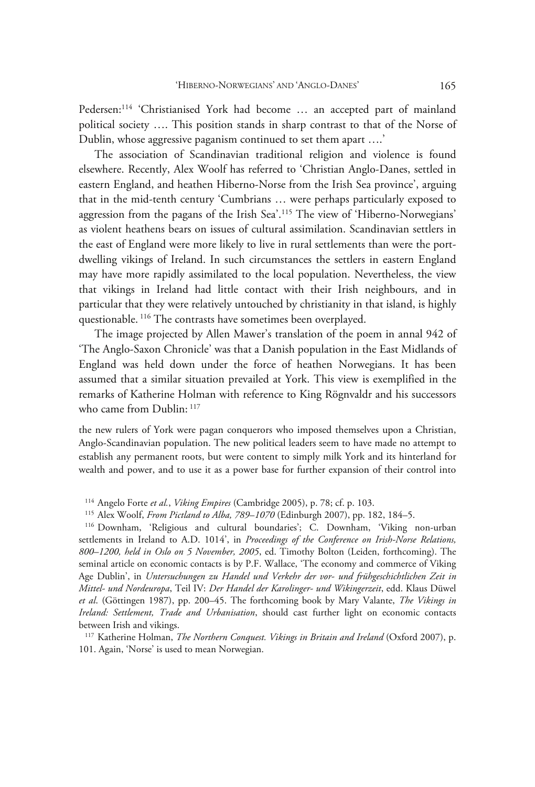Pedersen:<sup>114</sup> 'Christianised York had become ... an accepted part of mainland political society …. This position stands in sharp contrast to that of the Norse of Dublin, whose aggressive paganism continued to set them apart ….'

The association of Scandinavian traditional religion and violence is found elsewhere. Recently, Alex Woolf has referred to 'Christian Anglo-Danes, settled in eastern England, and heathen Hiberno-Norse from the Irish Sea province', arguing that in the mid-tenth century 'Cumbrians … were perhaps particularly exposed to aggression from the pagans of the Irish Sea'.115 The view of 'Hiberno-Norwegians' as violent heathens bears on issues of cultural assimilation. Scandinavian settlers in the east of England were more likely to live in rural settlements than were the portdwelling vikings of Ireland. In such circumstances the settlers in eastern England may have more rapidly assimilated to the local population. Nevertheless, the view that vikings in Ireland had little contact with their Irish neighbours, and in particular that they were relatively untouched by christianity in that island, is highly questionable. <sup>116</sup> The contrasts have sometimes been overplayed.

The image projected by Allen Mawer's translation of the poem in annal 942 of 'The Anglo-Saxon Chronicle' was that a Danish population in the East Midlands of England was held down under the force of heathen Norwegians. It has been assumed that a similar situation prevailed at York. This view is exemplified in the remarks of Katherine Holman with reference to King Rögnvaldr and his successors who came from Dublin:  $117$ 

the new rulers of York were pagan conquerors who imposed themselves upon a Christian, Anglo-Scandinavian population. The new political leaders seem to have made no attempt to establish any permanent roots, but were content to simply milk York and its hinterland for wealth and power, and to use it as a power base for further expansion of their control into

<sup>114</sup> Angelo Forte *et al., Viking Empires* (Cambridge 2005), p. 78; cf. p. 103.<br><sup>115</sup> Alex Woolf, *From Pictland to Alba, 789–1070* (Edinburgh 2007), pp. 182, 184–5.<br><sup>116</sup> Downham, 'Religious and cultural boundaries'; C. settlements in Ireland to A.D. 1014', in *Proceedings of the Conference on Irish-Norse Relations, 800–1200, held in Oslo on 5 November, 2005*, ed. Timothy Bolton (Leiden, forthcoming). The seminal article on economic contacts is by P.F. Wallace, 'The economy and commerce of Viking Age Dublin', in *Untersuchungen zu Handel und Verkehr der vor- und frühgeschichtlichen Zeit in Mittel- und Nordeuropa*, Teil IV: *Der Handel der Karolinger- und Wikingerzeit*, edd. Klaus Düwel *et al*. (Göttingen 1987), pp. 200–45. The forthcoming book by Mary Valante, *The Vikings in Ireland: Settlement, Trade and Urbanisation*, should cast further light on economic contacts between Irish and vikings.

117 Katherine Holman, *The Northern Conquest. Vikings in Britain and Ireland* (Oxford 2007), p. 101. Again, 'Norse' is used to mean Norwegian.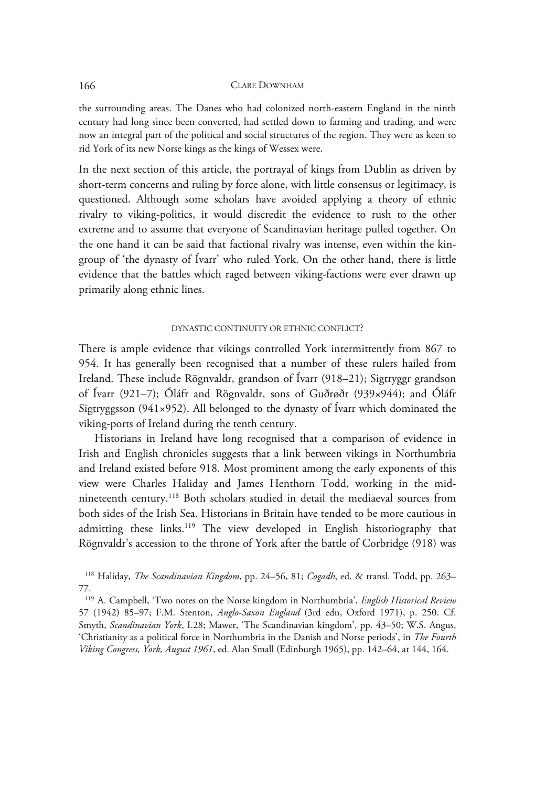the surrounding areas. The Danes who had colonized north-eastern England in the ninth century had long since been converted, had settled down to farming and trading, and were now an integral part of the political and social structures of the region. They were as keen to rid York of its new Norse kings as the kings of Wessex were.

In the next section of this article, the portrayal of kings from Dublin as driven by short-term concerns and ruling by force alone, with little consensus or legitimacy, is questioned. Although some scholars have avoided applying a theory of ethnic rivalry to viking-politics, it would discredit the evidence to rush to the other extreme and to assume that everyone of Scandinavian heritage pulled together. On the one hand it can be said that factional rivalry was intense, even within the kingroup of 'the dynasty of Ívarr' who ruled York. On the other hand, there is little evidence that the battles which raged between viking-factions were ever drawn up primarily along ethnic lines.

## DYNASTIC CONTINUITY OR ETHNIC CONFLICT?

There is ample evidence that vikings controlled York intermittently from 867 to 954. It has generally been recognised that a number of these rulers hailed from Ireland. These include Rögnvaldr, grandson of Ívarr (918–21); Sigtryggr grandson of Ívarr (921–7); Óláfr and Rögnvaldr, sons of Guðrøðr (939×944); and Óláfr Sigtryggsson (941×952). All belonged to the dynasty of Ívarr which dominated the viking-ports of Ireland during the tenth century.

Historians in Ireland have long recognised that a comparison of evidence in Irish and English chronicles suggests that a link between vikings in Northumbria and Ireland existed before 918. Most prominent among the early exponents of this view were Charles Haliday and James Henthorn Todd, working in the midnineteenth century.118 Both scholars studied in detail the mediaeval sources from both sides of the Irish Sea. Historians in Britain have tended to be more cautious in admitting these links.<sup>119</sup> The view developed in English historiography that Rögnvaldr's accession to the throne of York after the battle of Corbridge (918) was

118 Haliday, *The Scandinavian Kingdom*, pp. 24–56, 81; *Cogadh*, ed. & transl. Todd, pp. 263– 77.

119 A. Campbell, 'Two notes on the Norse kingdom in Northumbria', *English Historical Review* 57 (1942) 85–97; F.M. Stenton, *Anglo-Saxon England* (3rd edn, Oxford 1971), p. 250. Cf. Smyth, *Scandinavian York*, I.28; Mawer, 'The Scandinavian kingdom', pp. 43–50; W.S. Angus, 'Christianity as a political force in Northumbria in the Danish and Norse periods', in *The Fourth Viking Congress, York, August 1961*, ed. Alan Small (Edinburgh 1965), pp. 142–64, at 144, 164.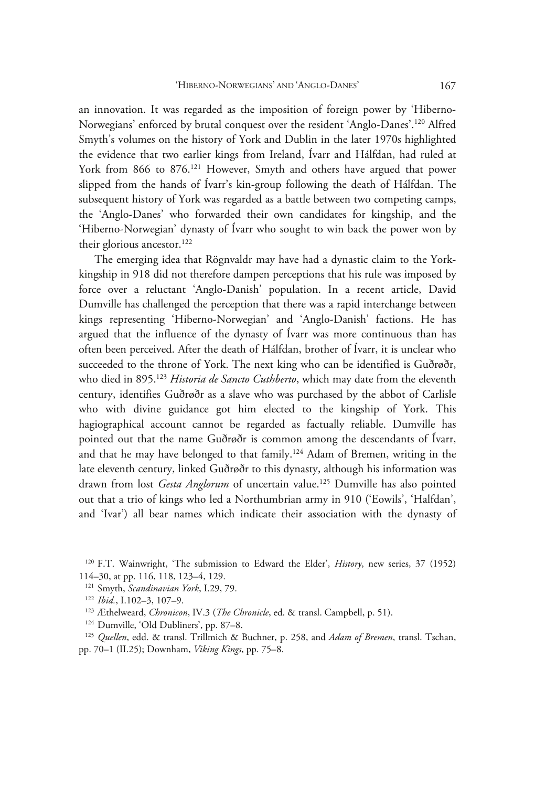an innovation. It was regarded as the imposition of foreign power by 'Hiberno-Norwegians' enforced by brutal conquest over the resident 'Anglo-Danes'.120 Alfred Smyth's volumes on the history of York and Dublin in the later 1970s highlighted the evidence that two earlier kings from Ireland, Ívarr and Hálfdan, had ruled at York from 866 to 876.<sup>121</sup> However, Smyth and others have argued that power slipped from the hands of Ívarr's kin-group following the death of Hálfdan. The subsequent history of York was regarded as a battle between two competing camps, the 'Anglo-Danes' who forwarded their own candidates for kingship, and the 'Hiberno-Norwegian' dynasty of Ívarr who sought to win back the power won by their glorious ancestor.<sup>122</sup>

The emerging idea that Rögnvaldr may have had a dynastic claim to the Yorkkingship in 918 did not therefore dampen perceptions that his rule was imposed by force over a reluctant 'Anglo-Danish' population. In a recent article, David Dumville has challenged the perception that there was a rapid interchange between kings representing 'Hiberno-Norwegian' and 'Anglo-Danish' factions. He has argued that the influence of the dynasty of Ívarr was more continuous than has often been perceived. After the death of Hálfdan, brother of Ívarr, it is unclear who succeeded to the throne of York. The next king who can be identified is Guðrøðr, who died in 895.123 *Historia de Sancto Cuthberto*, which may date from the eleventh century, identifies Guðrøðr as a slave who was purchased by the abbot of Carlisle who with divine guidance got him elected to the kingship of York. This hagiographical account cannot be regarded as factually reliable. Dumville has pointed out that the name Guðrøðr is common among the descendants of Ívarr, and that he may have belonged to that family.124 Adam of Bremen, writing in the late eleventh century, linked Guðrøðr to this dynasty, although his information was drawn from lost *Gesta Anglorum* of uncertain value.<sup>125</sup> Dumville has also pointed out that a trio of kings who led a Northumbrian army in 910 ('Eowils', 'Halfdan', and 'Ivar') all bear names which indicate their association with the dynasty of

<sup>120</sup> F.T. Wainwright, 'The submission to Edward the Elder', *History*, new series, 37 (1952) 114–30, at pp. 116, 118, 123–4, 129.

<sup>&</sup>lt;sup>121</sup> Smyth, *Scandinavian York*, I.29, 79.<br><sup>122</sup> Ibid., I.102–3, 107–9.<br><sup>123</sup> Æthelweard, *Chronicon*, IV.3 (*The Chronicle*, ed. & transl. Campbell, p. 51).<br><sup>124</sup> Dumville, 'Old Dubliners', pp. 87–8.<br><sup>125</sup> Quellen, edd. pp. 70–1 (II.25); Downham, *Viking Kings*, pp. 75–8.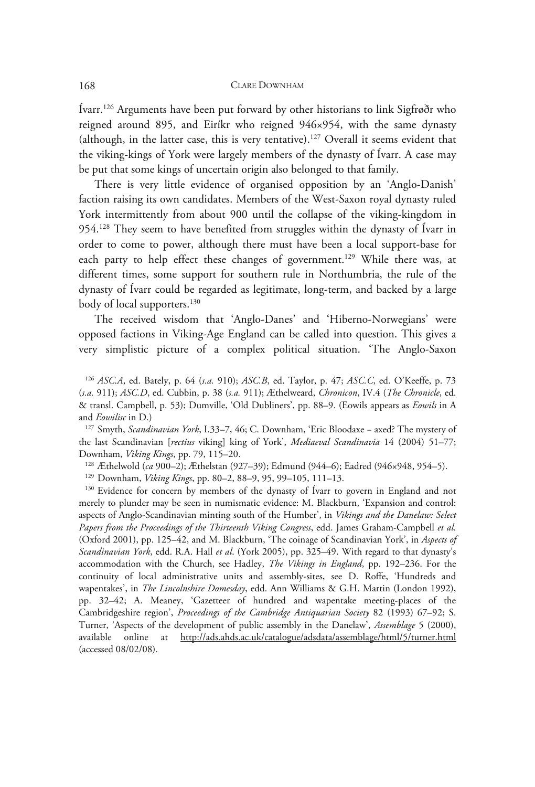Ívarr.126 Arguments have been put forward by other historians to link Sigfrøðr who reigned around 895, and Eiríkr who reigned 946×954, with the same dynasty (although, in the latter case, this is very tentative).127 Overall it seems evident that the viking-kings of York were largely members of the dynasty of Ívarr. A case may be put that some kings of uncertain origin also belonged to that family.

There is very little evidence of organised opposition by an 'Anglo-Danish' faction raising its own candidates. Members of the West-Saxon royal dynasty ruled York intermittently from about 900 until the collapse of the viking-kingdom in 954.128 They seem to have benefited from struggles within the dynasty of Ívarr in order to come to power, although there must have been a local support-base for each party to help effect these changes of government.<sup>129</sup> While there was, at different times, some support for southern rule in Northumbria, the rule of the dynasty of Ívarr could be regarded as legitimate, long-term, and backed by a large body of local supporters.<sup>130</sup>

The received wisdom that 'Anglo-Danes' and 'Hiberno-Norwegians' were opposed factions in Viking-Age England can be called into question. This gives a very simplistic picture of a complex political situation. 'The Anglo-Saxon

<sup>126</sup> *ASC.A*, ed. Bately, p. 64 (*s.a.* 910); *ASC.B*, ed. Taylor, p. 47; *ASC.C*, ed. O'Keeffe, p. 73 (*s.a.* 911); *ASC.D*, ed. Cubbin, p. 38 (*s.a.* 911); Æthelweard, *Chronicon*, IV.4 (*The Chronicle*, ed. & transl. Campbell, p. 53); Dumville, 'Old Dubliners', pp. 88–9. (Eowils appears as *Eowils* in A and *Eowilisc* in D.) 127 Smyth, *Scandinavian York*, I.33–7, 46; C. Downham, 'Eric Bloodaxe − axed? The mystery of

the last Scandinavian [*rectius* viking] king of York', *Mediaeval Scandinavia* 14 (2004) 51–77; Downham, *Viking Kings*, pp. 79, 115–20.<br><sup>128</sup> Æthelwold (*ca* 900–2); Æthelstan (927–39); Edmund (944–6); Eadred (946×948, 954–5).<br><sup>129</sup> Downham, *Viking Kings*, pp. 80–2, 88–9, 95, 99–105, 111–13.<br><sup>130</sup> Evidence for conc

merely to plunder may be seen in numismatic evidence: M. Blackburn, 'Expansion and control: aspects of Anglo-Scandinavian minting south of the Humber', in *Vikings and the Danelaw: Select Papers from the Proceedings of the Thirteenth Viking Congress*, edd. James Graham-Campbell *et al.* (Oxford 2001), pp. 125–42, and M. Blackburn, 'The coinage of Scandinavian York', in *Aspects of Scandinavian York*, edd. R.A. Hall *et al*. (York 2005), pp. 325–49. With regard to that dynasty's accommodation with the Church, see Hadley, *The Vikings in England*, pp. 192–236. For the continuity of local administrative units and assembly-sites, see D. Roffe, 'Hundreds and wapentakes', in *The Lincolnshire Domesday*, edd. Ann Williams & G.H. Martin (London 1992), pp. 32–42; A. Meaney, 'Gazetteer of hundred and wapentake meeting-places of the Cambridgeshire region', *Proceedings of the Cambridge Antiquarian Society* 82 (1993) 67–92; S. Turner, 'Aspects of the development of public assembly in the Danelaw', *Assemblage* 5 (2000), available online at http://ads.ahds.ac.uk/catalogue/adsdata/assemblage/html/5/turner.html (accessed 08/02/08).